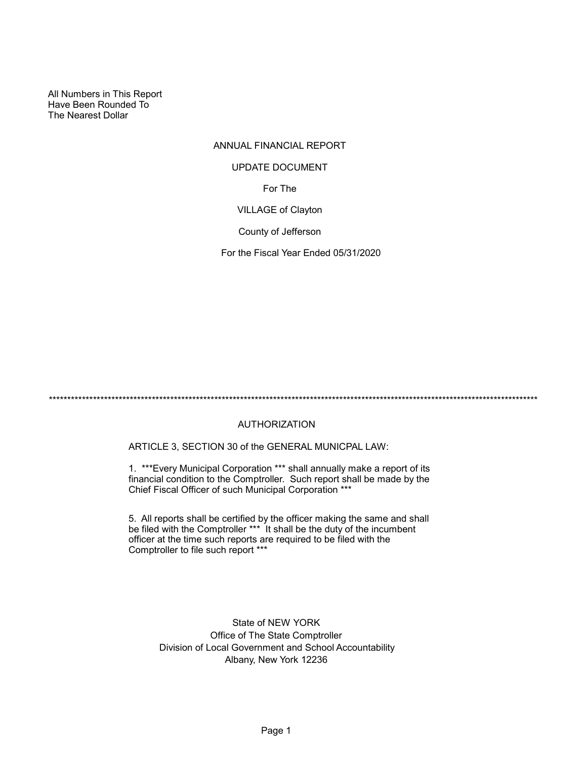All Numbers in This Report Have Been Rounded To The Nearest Dollar

# ANNUAL FINANCIAL REPORT For The VILLAGE of Clayton UPDATE DOCUMENT

County of Jefferson

For the Fiscal Year Ended 05/31/2020

\*\*\*\*\*\*\*\*\*\*\*\*\*\*\*\*\*\*\*\*\*\*\*\*\*\*\*\*\*\*\*\*\*\*\*\*\*\*\*\*\*\*\*\*\*\*\*\*\*\*\*\*\*\*\*\*\*\*\*\*\*\*\*\*\*\*\*\*\*\*\*\*\*\*\*\*\*\*\*\*\*\*\*\*\*\*\*\*\*\*\*\*\*\*\*\*\*\*\*\*\*\*\*\*\*\*\*\*\*\*\*\*\*\*\*\*\*\*\*\*\*\*\*\*\*\*\*\*\*\*\*\*\*

## AUTHORIZATION

ARTICLE 3, SECTION 30 of the GENERAL MUNICPAL LAW:

1. \*\*\*Every Municipal Corporation \*\*\* shall annually make a report of its financial condition to the Comptroller. Such report shall be made by the Chief Fiscal Officer of such Municipal Corporation \*\*\*

5. All reports shall be certified by the officer making the same and shall be filed with the Comptroller \*\*\* It shall be the duty of the incumbent officer at the time such reports are required to be filed with the Comptroller to file such report \*\*\*

> State of NEW YORK Office of The State Comptroller Division of Local Government and School Accountability Albany, New York 12236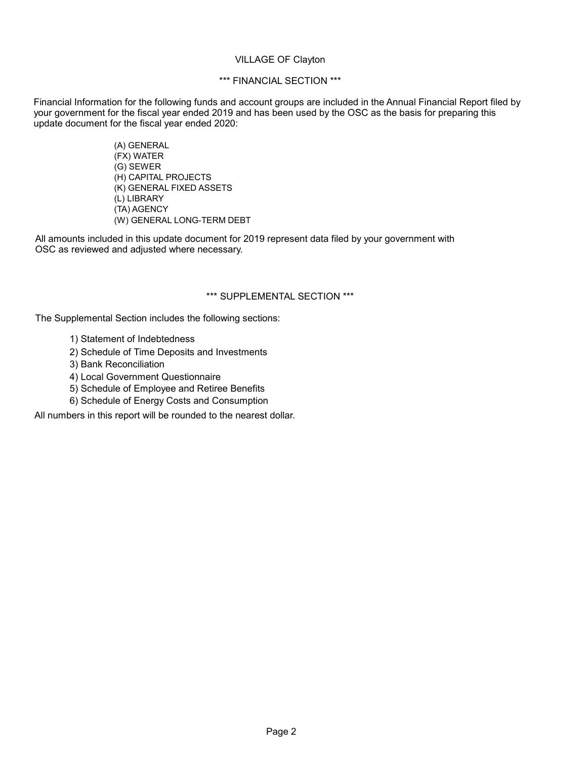## VILLAGE OF Clayton

## \*\*\* FINANCIAL SECTION \*\*\*

Financial Information for the following funds and account groups are included in the Annual Financial Report filed by your government for the fiscal year ended 2019 and has been used by the OSC as the basis for preparing this update document for the fiscal year ended 2020:

> (A) GENERAL (FX) WATER (G) SEWER (H) CAPITAL PROJECTS (K) GENERAL FIXED ASSETS (L) LIBRARY (TA) AGENCY (W) GENERAL LONG-TERM DEBT

All amounts included in this update document for 2019 represent data filed by your government with OSC as reviewed and adjusted where necessary.

## \*\*\* SUPPLEMENTAL SECTION \*\*\*

The Supplemental Section includes the following sections:

- 1) Statement of Indebtedness
- 2) Schedule of Time Deposits and Investments
- 3) Bank Reconciliation
- 4) Local Government Questionnaire
- 5) Schedule of Employee and Retiree Benefits
- 6) Schedule of Energy Costs and Consumption

All numbers in this report will be rounded to the nearest dollar.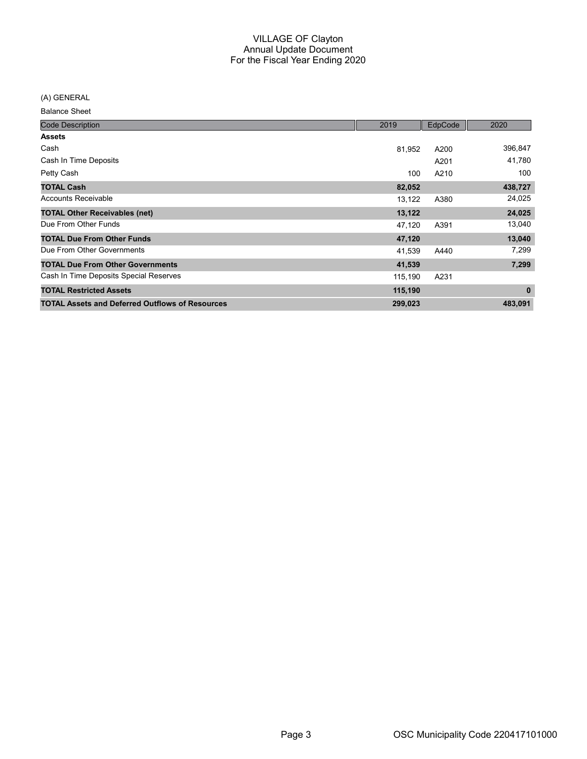(A) GENERAL

| <b>Code Description</b>                                | 2019    | EdpCode | 2020         |
|--------------------------------------------------------|---------|---------|--------------|
| <b>Assets</b>                                          |         |         |              |
| Cash                                                   | 81,952  | A200    | 396,847      |
| Cash In Time Deposits                                  |         | A201    | 41,780       |
| Petty Cash                                             | 100     | A210    | 100          |
| <b>TOTAL Cash</b>                                      | 82,052  |         | 438,727      |
| Accounts Receivable                                    | 13,122  | A380    | 24,025       |
| <b>TOTAL Other Receivables (net)</b>                   | 13,122  |         | 24,025       |
| Due From Other Funds                                   | 47,120  | A391    | 13,040       |
| <b>TOTAL Due From Other Funds</b>                      | 47,120  |         | 13,040       |
| Due From Other Governments                             | 41,539  | A440    | 7,299        |
| <b>TOTAL Due From Other Governments</b>                | 41,539  |         | 7,299        |
| Cash In Time Deposits Special Reserves                 | 115,190 | A231    |              |
| <b>TOTAL Restricted Assets</b>                         | 115,190 |         | $\mathbf{0}$ |
| <b>TOTAL Assets and Deferred Outflows of Resources</b> | 299,023 |         | 483,091      |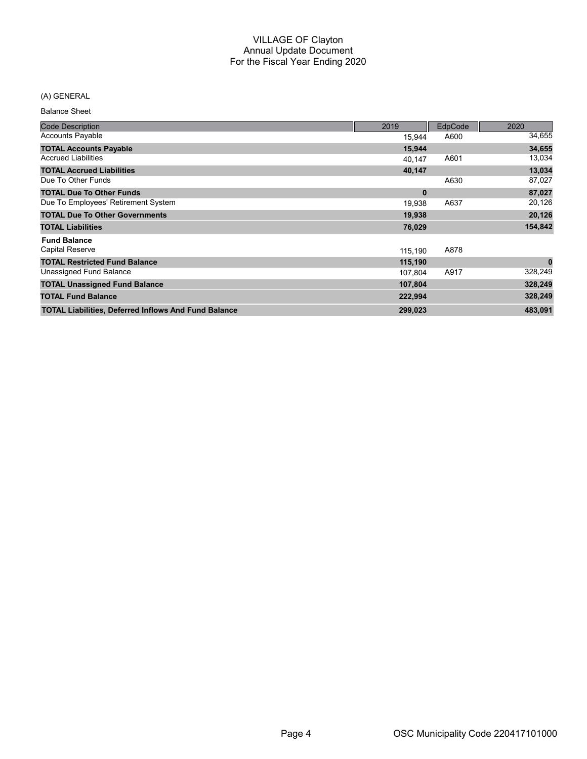## (A) GENERAL

| <b>Code Description</b>                                     | 2019     | EdpCode | 2020     |
|-------------------------------------------------------------|----------|---------|----------|
| <b>Accounts Payable</b>                                     | 15,944   | A600    | 34,655   |
| <b>TOTAL Accounts Payable</b>                               | 15,944   |         | 34,655   |
| <b>Accrued Liabilities</b>                                  | 40.147   | A601    | 13,034   |
| <b>TOTAL Accrued Liabilities</b>                            | 40,147   |         | 13,034   |
| Due To Other Funds                                          |          | A630    | 87,027   |
| <b>TOTAL Due To Other Funds</b>                             | $\bf{0}$ |         | 87,027   |
| Due To Employees' Retirement System                         | 19,938   | A637    | 20,126   |
| <b>TOTAL Due To Other Governments</b>                       | 19,938   |         | 20,126   |
| <b>TOTAL Liabilities</b>                                    | 76,029   |         | 154,842  |
| <b>Fund Balance</b>                                         |          |         |          |
| Capital Reserve                                             | 115,190  | A878    |          |
| <b>TOTAL Restricted Fund Balance</b>                        | 115,190  |         | $\bf{0}$ |
| Unassigned Fund Balance                                     | 107,804  | A917    | 328,249  |
| <b>TOTAL Unassigned Fund Balance</b>                        | 107,804  |         | 328,249  |
| <b>TOTAL Fund Balance</b>                                   | 222,994  |         | 328,249  |
| <b>TOTAL Liabilities, Deferred Inflows And Fund Balance</b> | 299,023  |         | 483,091  |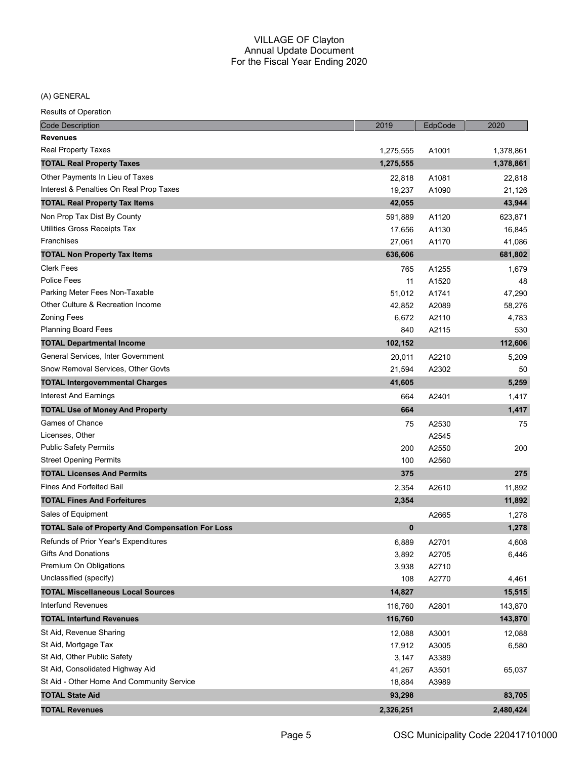(A) GENERAL

| <b>Code Description</b>                                 | 2019        | EdpCode | 2020      |
|---------------------------------------------------------|-------------|---------|-----------|
| <b>Revenues</b>                                         |             |         |           |
| <b>Real Property Taxes</b>                              | 1,275,555   | A1001   | 1,378,861 |
| <b>TOTAL Real Property Taxes</b>                        | 1,275,555   |         | 1,378,861 |
| Other Payments In Lieu of Taxes                         | 22,818      | A1081   | 22,818    |
| Interest & Penalties On Real Prop Taxes                 | 19,237      | A1090   | 21,126    |
| <b>TOTAL Real Property Tax Items</b>                    | 42,055      |         | 43,944    |
| Non Prop Tax Dist By County                             | 591,889     | A1120   | 623,871   |
| Utilities Gross Receipts Tax                            | 17,656      | A1130   | 16,845    |
| Franchises                                              | 27,061      | A1170   | 41,086    |
| <b>TOTAL Non Property Tax Items</b>                     | 636,606     |         | 681,802   |
| <b>Clerk Fees</b>                                       | 765         | A1255   | 1,679     |
| <b>Police Fees</b>                                      | 11          | A1520   | 48        |
| Parking Meter Fees Non-Taxable                          | 51,012      | A1741   | 47,290    |
| Other Culture & Recreation Income                       | 42,852      | A2089   | 58,276    |
| <b>Zoning Fees</b>                                      | 6,672       | A2110   | 4,783     |
| <b>Planning Board Fees</b>                              | 840         | A2115   | 530       |
| <b>TOTAL Departmental Income</b>                        | 102,152     |         | 112,606   |
| General Services, Inter Government                      | 20,011      | A2210   | 5,209     |
| Snow Removal Services, Other Govts                      | 21,594      | A2302   | 50        |
| <b>TOTAL Intergovernmental Charges</b>                  | 41,605      |         | 5,259     |
| Interest And Earnings                                   | 664         | A2401   | 1,417     |
| <b>TOTAL Use of Money And Property</b>                  | 664         |         | 1,417     |
| Games of Chance                                         | 75          | A2530   | 75        |
| Licenses, Other                                         |             | A2545   |           |
| <b>Public Safety Permits</b>                            | 200         | A2550   | 200       |
| <b>Street Opening Permits</b>                           | 100         | A2560   |           |
| <b>TOTAL Licenses And Permits</b>                       | 375         |         | 275       |
| <b>Fines And Forfeited Bail</b>                         | 2,354       | A2610   | 11,892    |
| <b>TOTAL Fines And Forfeitures</b>                      | 2,354       |         | 11,892    |
| Sales of Equipment                                      |             | A2665   | 1,278     |
| <b>TOTAL Sale of Property And Compensation For Loss</b> | $\mathbf 0$ |         | 1,278     |
| Refunds of Prior Year's Expenditures                    | 6,889       | A2701   | 4,608     |
| <b>Gifts And Donations</b>                              | 3,892       | A2705   | 6,446     |
| Premium On Obligations                                  | 3,938       | A2710   |           |
| Unclassified (specify)                                  | 108         | A2770   | 4,461     |
| <b>TOTAL Miscellaneous Local Sources</b>                | 14,827      |         | 15,515    |
| Interfund Revenues                                      | 116,760     | A2801   | 143,870   |
| <b>TOTAL Interfund Revenues</b>                         | 116,760     |         | 143,870   |
| St Aid, Revenue Sharing                                 | 12,088      | A3001   | 12,088    |
| St Aid, Mortgage Tax                                    | 17,912      | A3005   | 6,580     |
| St Aid, Other Public Safety                             | 3,147       | A3389   |           |
| St Aid, Consolidated Highway Aid                        | 41,267      | A3501   | 65,037    |
| St Aid - Other Home And Community Service               | 18,884      | A3989   |           |
| <b>TOTAL State Aid</b>                                  | 93,298      |         | 83,705    |
| <b>TOTAL Revenues</b>                                   | 2,326,251   |         | 2,480,424 |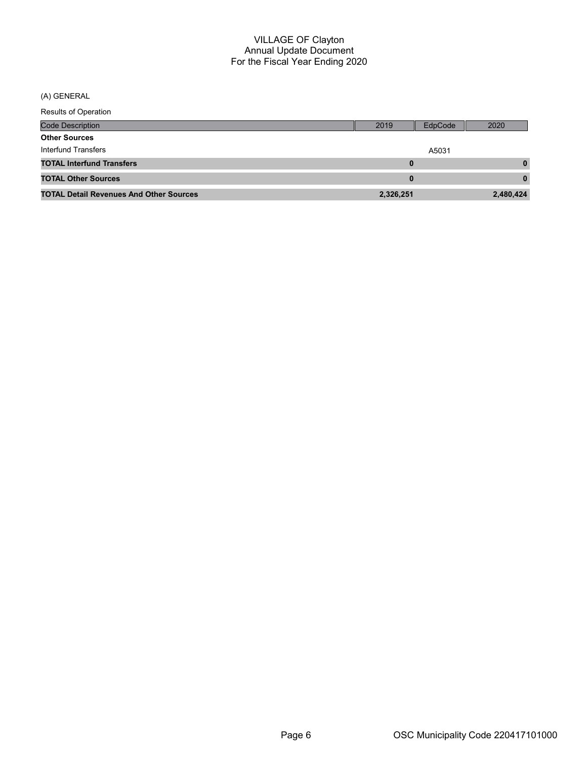(A) GENERAL

| <b>Results of Operation</b>                    |           |         |           |
|------------------------------------------------|-----------|---------|-----------|
| Code Description                               | 2019      | EdpCode | 2020      |
| <b>Other Sources</b>                           |           |         |           |
| Interfund Transfers                            |           | A5031   |           |
| <b>TOTAL Interfund Transfers</b>               |           | 0       | 0         |
| <b>TOTAL Other Sources</b>                     |           | 0       | 0         |
| <b>TOTAL Detail Revenues And Other Sources</b> | 2,326,251 |         | 2,480,424 |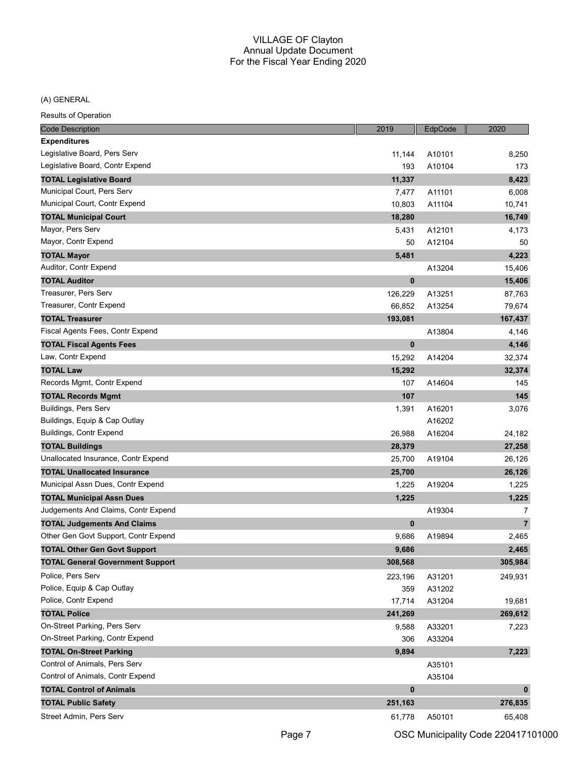(A) GENERAL

| <b>Code Description</b>                 | 2019        | EdpCode | 2020           |
|-----------------------------------------|-------------|---------|----------------|
| <b>Expenditures</b>                     |             |         |                |
| Legislative Board, Pers Serv            | 11,144      | A10101  | 8,250          |
| Legislative Board, Contr Expend         | 193         | A10104  | 173            |
| <b>TOTAL Legislative Board</b>          | 11,337      |         | 8,423          |
| Municipal Court, Pers Serv              | 7,477       | A11101  | 6,008          |
| Municipal Court, Contr Expend           | 10,803      | A11104  | 10,741         |
| <b>TOTAL Municipal Court</b>            | 18,280      |         | 16,749         |
| Mayor, Pers Serv                        | 5,431       | A12101  | 4,173          |
| Mayor, Contr Expend                     | 50          | A12104  | 50             |
| <b>TOTAL Mayor</b>                      | 5,481       |         | 4,223          |
| Auditor, Contr Expend                   |             | A13204  | 15,406         |
| <b>TOTAL Auditor</b>                    | $\pmb{0}$   |         | 15,406         |
| Treasurer, Pers Serv                    | 126,229     | A13251  | 87,763         |
| Treasurer, Contr Expend                 | 66,852      | A13254  | 79,674         |
| <b>TOTAL Treasurer</b>                  | 193,081     |         | 167,437        |
| Fiscal Agents Fees, Contr Expend        |             | A13804  | 4,146          |
| <b>TOTAL Fiscal Agents Fees</b>         | $\bf{0}$    |         | 4,146          |
| Law, Contr Expend                       | 15,292      | A14204  | 32,374         |
| <b>TOTAL Law</b>                        | 15,292      |         | 32,374         |
| Records Mgmt, Contr Expend              | 107         | A14604  | 145            |
| <b>TOTAL Records Mgmt</b>               | 107         |         | 145            |
| Buildings, Pers Serv                    | 1,391       | A16201  | 3,076          |
| Buildings, Equip & Cap Outlay           |             | A16202  |                |
| Buildings, Contr Expend                 | 26,988      | A16204  | 24,182         |
| <b>TOTAL Buildings</b>                  | 28,379      |         | 27,258         |
| Unallocated Insurance, Contr Expend     | 25,700      | A19104  | 26,126         |
| <b>TOTAL Unallocated Insurance</b>      | 25,700      |         | 26,126         |
| Municipal Assn Dues, Contr Expend       | 1,225       | A19204  | 1,225          |
| <b>TOTAL Municipal Assn Dues</b>        | 1,225       |         | 1,225          |
| Judgements And Claims, Contr Expend     |             | A19304  | 7              |
| <b>TOTAL Judgements And Claims</b>      | $\pmb{0}$   |         | $\overline{7}$ |
| Other Gen Govt Support, Contr Expend    | 9,686       | A19894  | 2,465          |
| <b>TOTAL Other Gen Govt Support</b>     | 9,686       |         | 2,465          |
| <b>TOTAL General Government Support</b> | 308,568     |         | 305,984        |
| Police, Pers Serv                       | 223,196     | A31201  | 249,931        |
| Police, Equip & Cap Outlay              | 359         | A31202  |                |
| Police, Contr Expend                    | 17,714      | A31204  | 19,681         |
| <b>TOTAL Police</b>                     | 241,269     |         | 269,612        |
| On-Street Parking, Pers Serv            | 9,588       | A33201  | 7,223          |
| On-Street Parking, Contr Expend         | 306         | A33204  |                |
| <b>TOTAL On-Street Parking</b>          | 9,894       |         | 7,223          |
| Control of Animals, Pers Serv           |             | A35101  |                |
| Control of Animals, Contr Expend        |             | A35104  |                |
| <b>TOTAL Control of Animals</b>         | $\mathbf 0$ |         | $\mathbf{0}$   |
| <b>TOTAL Public Safety</b>              | 251,163     |         | 276,835        |
| Street Admin, Pers Serv                 | 61,778      | A50101  | 65,408         |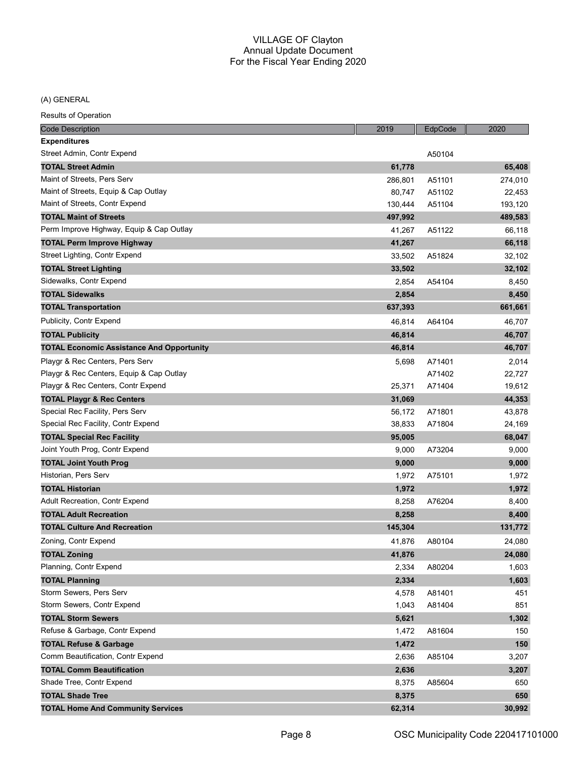(A) GENERAL

| <b>Code Description</b>                          | 2019    | EdpCode | 2020    |
|--------------------------------------------------|---------|---------|---------|
| <b>Expenditures</b>                              |         |         |         |
| Street Admin, Contr Expend                       |         | A50104  |         |
| <b>TOTAL Street Admin</b>                        | 61,778  |         | 65,408  |
| Maint of Streets, Pers Serv                      | 286,801 | A51101  | 274,010 |
| Maint of Streets, Equip & Cap Outlay             | 80,747  | A51102  | 22,453  |
| Maint of Streets, Contr Expend                   | 130,444 | A51104  | 193,120 |
| <b>TOTAL Maint of Streets</b>                    | 497,992 |         | 489,583 |
| Perm Improve Highway, Equip & Cap Outlay         | 41,267  | A51122  | 66,118  |
| <b>TOTAL Perm Improve Highway</b>                | 41,267  |         | 66,118  |
| Street Lighting, Contr Expend                    | 33,502  | A51824  | 32,102  |
| <b>TOTAL Street Lighting</b>                     | 33,502  |         | 32,102  |
| Sidewalks, Contr Expend                          | 2,854   | A54104  | 8,450   |
| <b>TOTAL Sidewalks</b>                           | 2,854   |         | 8,450   |
| <b>TOTAL Transportation</b>                      | 637,393 |         | 661,661 |
| Publicity, Contr Expend                          | 46,814  | A64104  | 46,707  |
| <b>TOTAL Publicity</b>                           | 46,814  |         | 46,707  |
| <b>TOTAL Economic Assistance And Opportunity</b> | 46,814  |         | 46,707  |
| Playgr & Rec Centers, Pers Serv                  | 5,698   | A71401  | 2,014   |
| Playgr & Rec Centers, Equip & Cap Outlay         |         | A71402  | 22,727  |
| Playgr & Rec Centers, Contr Expend               | 25,371  | A71404  | 19,612  |
| <b>TOTAL Playgr &amp; Rec Centers</b>            | 31,069  |         | 44,353  |
| Special Rec Facility, Pers Serv                  | 56,172  | A71801  | 43,878  |
| Special Rec Facility, Contr Expend               | 38,833  | A71804  | 24,169  |
| <b>TOTAL Special Rec Facility</b>                | 95,005  |         | 68,047  |
| Joint Youth Prog, Contr Expend                   | 9,000   | A73204  | 9,000   |
| <b>TOTAL Joint Youth Prog</b>                    | 9,000   |         | 9,000   |
| Historian, Pers Serv                             | 1,972   | A75101  | 1,972   |
| TOTAL Historian                                  | 1,972   |         | 1,972   |
| Adult Recreation, Contr Expend                   | 8,258   | A76204  | 8,400   |
| <b>TOTAL Adult Recreation</b>                    | 8,258   |         | 8,400   |
| <b>TOTAL Culture And Recreation</b>              | 145,304 |         | 131,772 |
| Zoning, Contr Expend                             | 41,876  | A80104  | 24,080  |
| <b>TOTAL Zoning</b>                              | 41,876  |         | 24,080  |
| Planning, Contr Expend                           | 2,334   | A80204  | 1,603   |
| <b>TOTAL Planning</b>                            | 2,334   |         | 1,603   |
| Storm Sewers, Pers Serv                          | 4,578   | A81401  | 451     |
| Storm Sewers, Contr Expend                       | 1,043   | A81404  | 851     |
| <b>TOTAL Storm Sewers</b>                        | 5,621   |         | 1,302   |
| Refuse & Garbage, Contr Expend                   | 1,472   | A81604  | 150     |
| <b>TOTAL Refuse &amp; Garbage</b>                | 1,472   |         | 150     |
| Comm Beautification, Contr Expend                | 2,636   | A85104  | 3,207   |
| <b>TOTAL Comm Beautification</b>                 | 2,636   |         | 3,207   |
| Shade Tree, Contr Expend                         | 8,375   | A85604  | 650     |
| <b>TOTAL Shade Tree</b>                          | 8,375   |         | 650     |
| <b>TOTAL Home And Community Services</b>         | 62,314  |         | 30,992  |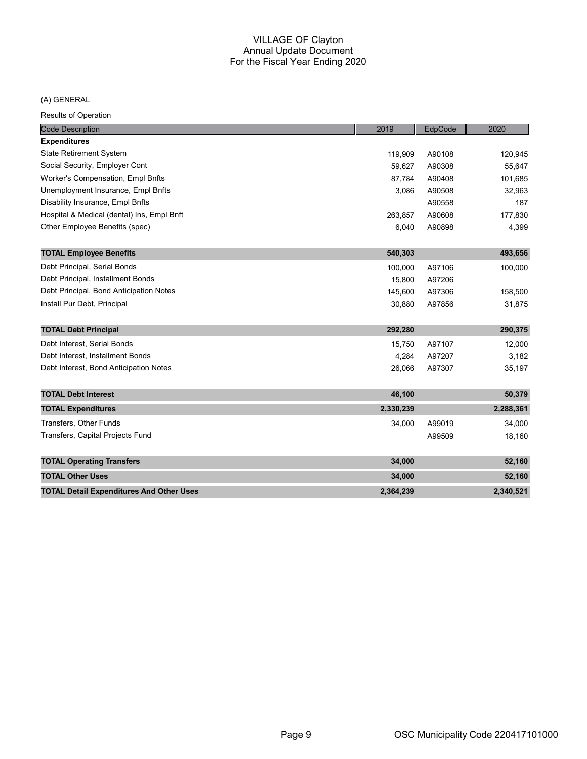## (A) GENERAL

| <b>Code Description</b>                         | 2019      | EdpCode | 2020      |
|-------------------------------------------------|-----------|---------|-----------|
| <b>Expenditures</b>                             |           |         |           |
| <b>State Retirement System</b>                  | 119.909   | A90108  | 120,945   |
| Social Security, Employer Cont                  | 59,627    | A90308  | 55,647    |
| Worker's Compensation, Empl Bnfts               | 87,784    | A90408  | 101,685   |
| Unemployment Insurance, Empl Bnfts              | 3,086     | A90508  | 32,963    |
| Disability Insurance, Empl Bnfts                |           | A90558  | 187       |
| Hospital & Medical (dental) Ins, Empl Bnft      | 263,857   | A90608  | 177,830   |
| Other Employee Benefits (spec)                  | 6,040     | A90898  | 4,399     |
| <b>TOTAL Employee Benefits</b>                  | 540,303   |         | 493,656   |
| Debt Principal, Serial Bonds                    | 100,000   | A97106  | 100,000   |
| Debt Principal, Installment Bonds               | 15,800    | A97206  |           |
| Debt Principal, Bond Anticipation Notes         | 145,600   | A97306  | 158,500   |
| Install Pur Debt, Principal                     | 30,880    | A97856  | 31,875    |
|                                                 |           |         |           |
| <b>TOTAL Debt Principal</b>                     | 292,280   |         | 290,375   |
| Debt Interest, Serial Bonds                     | 15,750    | A97107  | 12,000    |
| Debt Interest, Installment Bonds                | 4,284     | A97207  | 3,182     |
| Debt Interest, Bond Anticipation Notes          | 26,066    | A97307  | 35,197    |
|                                                 |           |         |           |
| <b>TOTAL Debt Interest</b>                      | 46,100    |         | 50,379    |
| <b>TOTAL Expenditures</b>                       | 2,330,239 |         | 2,288,361 |
| Transfers, Other Funds                          | 34,000    | A99019  | 34,000    |
| Transfers, Capital Projects Fund                |           | A99509  | 18,160    |
| <b>TOTAL Operating Transfers</b>                | 34,000    |         | 52,160    |
|                                                 |           |         |           |
| <b>TOTAL Other Uses</b>                         | 34,000    |         | 52,160    |
| <b>TOTAL Detail Expenditures And Other Uses</b> | 2,364,239 |         | 2,340,521 |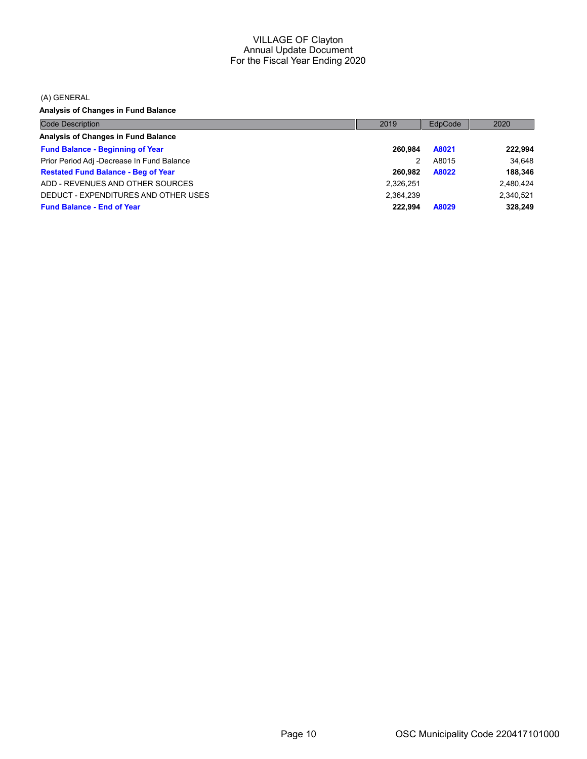(A) GENERAL

Analysis of Changes in Fund Balance

| <b>Code Description</b>                    | 2019      | EdpCode | 2020      |
|--------------------------------------------|-----------|---------|-----------|
| Analysis of Changes in Fund Balance        |           |         |           |
| <b>Fund Balance - Beginning of Year</b>    | 260.984   | A8021   | 222,994   |
| Prior Period Adj -Decrease In Fund Balance | 2         | A8015   | 34.648    |
| <b>Restated Fund Balance - Beg of Year</b> | 260.982   | A8022   | 188,346   |
| ADD - REVENUES AND OTHER SOURCES           | 2,326,251 |         | 2.480.424 |
| DEDUCT - EXPENDITURES AND OTHER USES       | 2.364.239 |         | 2.340.521 |
| <b>Fund Balance - End of Year</b>          | 222.994   | A8029   | 328.249   |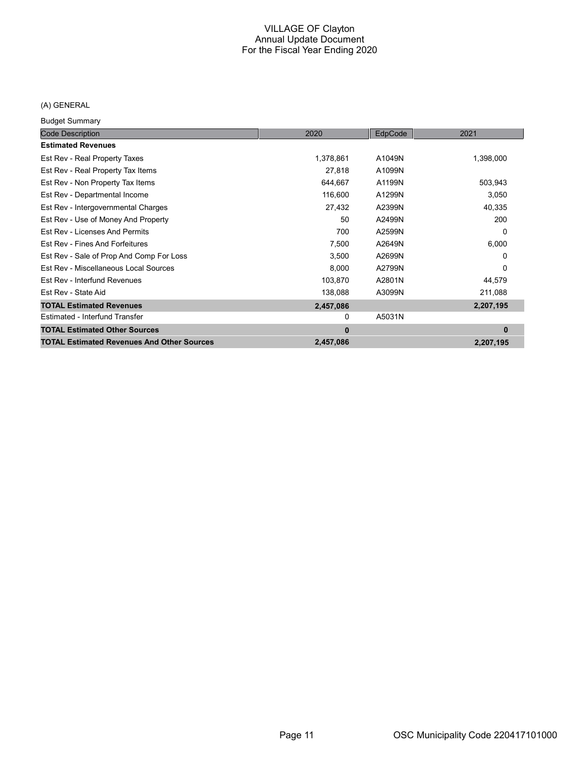## (A) GENERAL

Budget Summary

| <b>Code Description</b>                           | 2020      | EdpCode | 2021      |
|---------------------------------------------------|-----------|---------|-----------|
| <b>Estimated Revenues</b>                         |           |         |           |
| Est Rev - Real Property Taxes                     | 1,378,861 | A1049N  | 1,398,000 |
| Est Rev - Real Property Tax Items                 | 27,818    | A1099N  |           |
| Est Rev - Non Property Tax Items                  | 644,667   | A1199N  | 503,943   |
| Est Rev - Departmental Income                     | 116,600   | A1299N  | 3,050     |
| Est Rev - Intergovernmental Charges               | 27,432    | A2399N  | 40,335    |
| Est Rev - Use of Money And Property               | 50        | A2499N  | 200       |
| Est Rev - Licenses And Permits                    | 700       | A2599N  | 0         |
| Est Rev - Fines And Forfeitures                   | 7,500     | A2649N  | 6,000     |
| Est Rev - Sale of Prop And Comp For Loss          | 3,500     | A2699N  | 0         |
| Est Rev - Miscellaneous Local Sources             | 8,000     | A2799N  | 0         |
| Est Rev - Interfund Revenues                      | 103,870   | A2801N  | 44,579    |
| Est Rev - State Aid                               | 138,088   | A3099N  | 211,088   |
| <b>TOTAL Estimated Revenues</b>                   | 2,457,086 |         | 2,207,195 |
| Estimated - Interfund Transfer                    | 0         | A5031N  |           |
| <b>TOTAL Estimated Other Sources</b>              | $\bf{0}$  |         | $\bf{0}$  |
| <b>TOTAL Estimated Revenues And Other Sources</b> | 2,457,086 |         | 2,207,195 |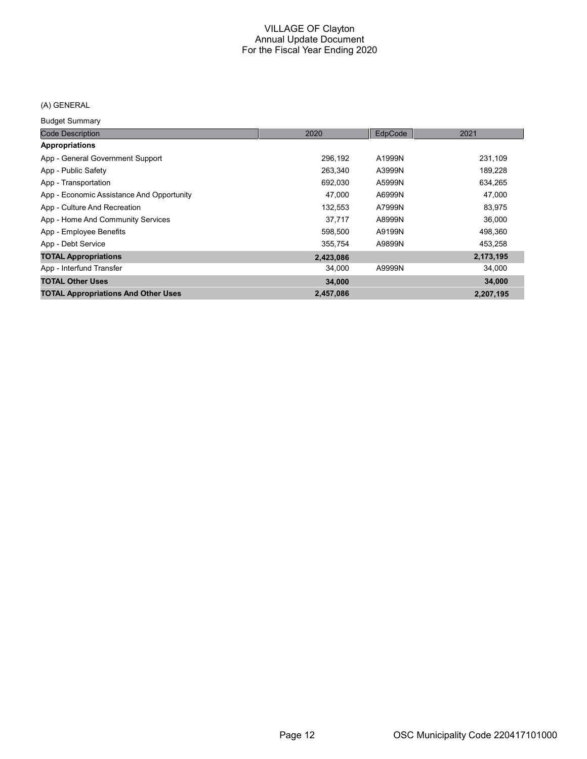## (A) GENERAL

Budget Summary

| <b>Code Description</b>                    | 2020      | EdpCode | 2021      |
|--------------------------------------------|-----------|---------|-----------|
| Appropriations                             |           |         |           |
| App - General Government Support           | 296,192   | A1999N  | 231,109   |
| App - Public Safety                        | 263,340   | A3999N  | 189,228   |
| App - Transportation                       | 692,030   | A5999N  | 634,265   |
| App - Economic Assistance And Opportunity  | 47,000    | A6999N  | 47,000    |
| App - Culture And Recreation               | 132,553   | A7999N  | 83,975    |
| App - Home And Community Services          | 37,717    | A8999N  | 36,000    |
| App - Employee Benefits                    | 598,500   | A9199N  | 498,360   |
| App - Debt Service                         | 355,754   | A9899N  | 453,258   |
| <b>TOTAL Appropriations</b>                | 2,423,086 |         | 2,173,195 |
| App - Interfund Transfer                   | 34,000    | A9999N  | 34,000    |
| <b>TOTAL Other Uses</b>                    | 34,000    |         | 34,000    |
| <b>TOTAL Appropriations And Other Uses</b> | 2,457,086 |         | 2,207,195 |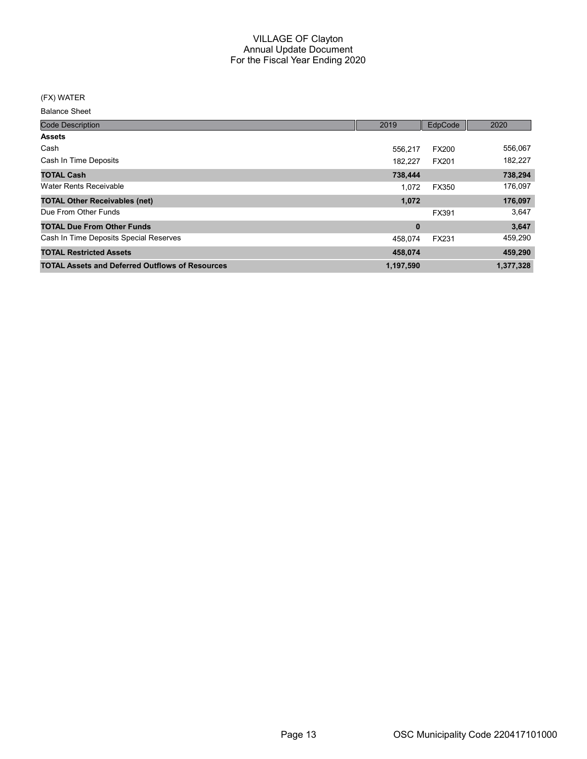#### (FX) WATER

| <b>Code Description</b>                                | 2019      | EdpCode      | 2020      |
|--------------------------------------------------------|-----------|--------------|-----------|
| <b>Assets</b>                                          |           |              |           |
| Cash                                                   | 556.217   | <b>FX200</b> | 556,067   |
| Cash In Time Deposits                                  | 182.227   | FX201        | 182,227   |
| <b>TOTAL Cash</b>                                      | 738,444   |              | 738,294   |
| Water Rents Receivable                                 | 1.072     | FX350        | 176,097   |
| <b>TOTAL Other Receivables (net)</b>                   | 1,072     |              | 176,097   |
| Due From Other Funds                                   |           | FX391        | 3,647     |
| <b>TOTAL Due From Other Funds</b>                      | $\bf{0}$  |              | 3,647     |
| Cash In Time Deposits Special Reserves                 | 458.074   | FX231        | 459,290   |
| <b>TOTAL Restricted Assets</b>                         | 458,074   |              | 459,290   |
| <b>TOTAL Assets and Deferred Outflows of Resources</b> | 1,197,590 |              | 1,377,328 |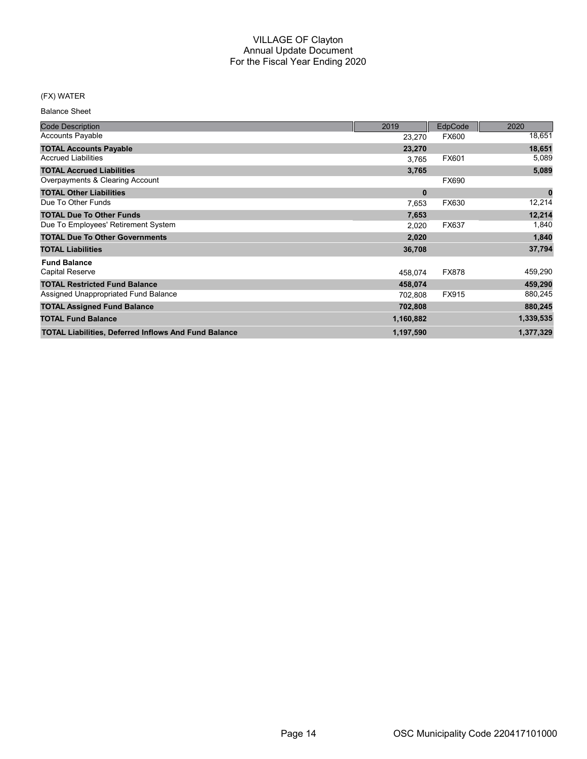## (FX) WATER

| <b>Code Description</b>                                     | 2019      | EdpCode      | 2020      |
|-------------------------------------------------------------|-----------|--------------|-----------|
| <b>Accounts Payable</b>                                     | 23,270    | <b>FX600</b> | 18,651    |
| <b>TOTAL Accounts Payable</b>                               | 23,270    |              | 18,651    |
| <b>Accrued Liabilities</b>                                  | 3,765     | FX601        | 5,089     |
| <b>TOTAL Accrued Liabilities</b>                            | 3,765     |              | 5,089     |
| Overpayments & Clearing Account                             |           | FX690        |           |
| <b>TOTAL Other Liabilities</b>                              | $\bf{0}$  |              | $\bf{0}$  |
| Due To Other Funds                                          | 7,653     | FX630        | 12,214    |
| <b>TOTAL Due To Other Funds</b>                             | 7,653     |              | 12,214    |
| Due To Employees' Retirement System                         | 2,020     | FX637        | 1,840     |
| <b>TOTAL Due To Other Governments</b>                       | 2,020     |              | 1,840     |
| <b>TOTAL Liabilities</b>                                    | 36,708    |              | 37,794    |
| <b>Fund Balance</b>                                         |           |              |           |
| <b>Capital Reserve</b>                                      | 458,074   | <b>FX878</b> | 459,290   |
| <b>TOTAL Restricted Fund Balance</b>                        | 458,074   |              | 459,290   |
| Assigned Unappropriated Fund Balance                        | 702,808   | FX915        | 880,245   |
| <b>TOTAL Assigned Fund Balance</b>                          | 702,808   |              | 880,245   |
| <b>TOTAL Fund Balance</b>                                   | 1,160,882 |              | 1,339,535 |
| <b>TOTAL Liabilities, Deferred Inflows And Fund Balance</b> | 1,197,590 |              | 1,377,329 |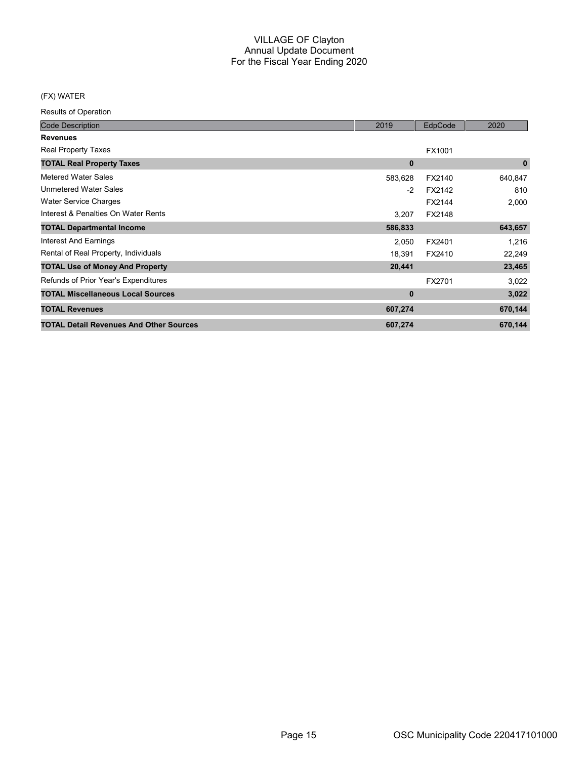## (FX) WATER

| <b>Code Description</b>                        | 2019     | EdpCode | 2020        |
|------------------------------------------------|----------|---------|-------------|
| <b>Revenues</b>                                |          |         |             |
| Real Property Taxes                            |          | FX1001  |             |
| <b>TOTAL Real Property Taxes</b>               | $\bf{0}$ |         | $\mathbf 0$ |
| <b>Metered Water Sales</b>                     | 583,628  | FX2140  | 640,847     |
| <b>Unmetered Water Sales</b>                   | $-2$     | FX2142  | 810         |
| Water Service Charges                          |          | FX2144  | 2,000       |
| Interest & Penalties On Water Rents            | 3,207    | FX2148  |             |
| <b>TOTAL Departmental Income</b>               | 586,833  |         | 643,657     |
| <b>Interest And Earnings</b>                   | 2,050    | FX2401  | 1,216       |
| Rental of Real Property, Individuals           | 18,391   | FX2410  | 22,249      |
| <b>TOTAL Use of Money And Property</b>         | 20,441   |         | 23,465      |
| Refunds of Prior Year's Expenditures           |          | FX2701  | 3,022       |
| <b>TOTAL Miscellaneous Local Sources</b>       | $\bf{0}$ |         | 3,022       |
| <b>TOTAL Revenues</b>                          | 607,274  |         | 670,144     |
| <b>TOTAL Detail Revenues And Other Sources</b> | 607,274  |         | 670,144     |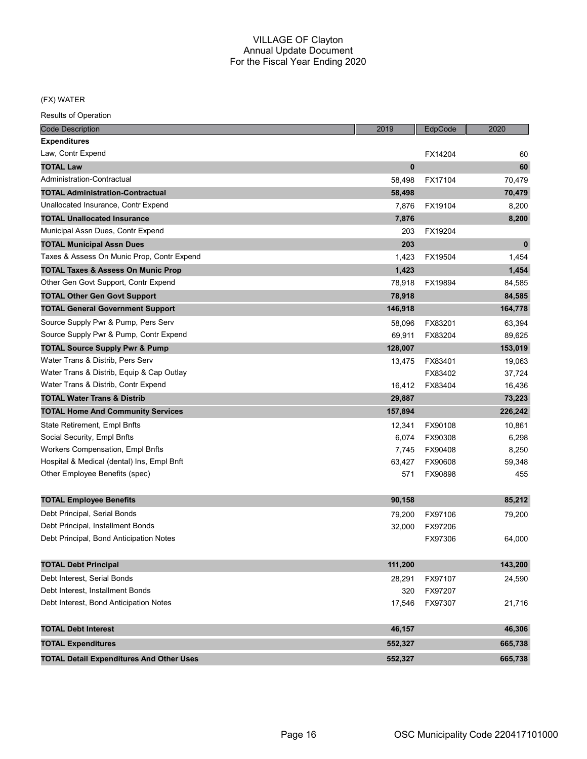#### (FX) WATER

| <b>Code Description</b>                         | 2019     | EdpCode | 2020        |
|-------------------------------------------------|----------|---------|-------------|
| <b>Expenditures</b>                             |          |         |             |
| Law, Contr Expend                               |          | FX14204 | 60          |
| <b>TOTAL Law</b>                                | $\bf{0}$ |         | 60          |
| Administration-Contractual                      | 58,498   | FX17104 | 70,479      |
| <b>TOTAL Administration-Contractual</b>         | 58,498   |         | 70,479      |
| Unallocated Insurance, Contr Expend             | 7,876    | FX19104 | 8,200       |
| <b>TOTAL Unallocated Insurance</b>              | 7,876    |         | 8,200       |
| Municipal Assn Dues, Contr Expend               | 203      | FX19204 |             |
| <b>TOTAL Municipal Assn Dues</b>                | 203      |         | $\mathbf 0$ |
| Taxes & Assess On Munic Prop, Contr Expend      | 1,423    | FX19504 | 1,454       |
| <b>TOTAL Taxes &amp; Assess On Munic Prop</b>   | 1,423    |         | 1,454       |
| Other Gen Govt Support, Contr Expend            | 78,918   | FX19894 | 84,585      |
| <b>TOTAL Other Gen Govt Support</b>             | 78,918   |         | 84,585      |
| <b>TOTAL General Government Support</b>         | 146,918  |         | 164,778     |
| Source Supply Pwr & Pump, Pers Serv             | 58,096   | FX83201 | 63,394      |
| Source Supply Pwr & Pump, Contr Expend          | 69,911   | FX83204 | 89,625      |
| <b>TOTAL Source Supply Pwr &amp; Pump</b>       | 128,007  |         | 153,019     |
| Water Trans & Distrib. Pers Serv                | 13,475   | FX83401 | 19,063      |
| Water Trans & Distrib, Equip & Cap Outlay       |          | FX83402 | 37,724      |
| Water Trans & Distrib, Contr Expend             | 16,412   | FX83404 | 16,436      |
| <b>TOTAL Water Trans &amp; Distrib</b>          | 29,887   |         | 73,223      |
| <b>TOTAL Home And Community Services</b>        | 157,894  |         | 226,242     |
| State Retirement, Empl Bnfts                    | 12,341   | FX90108 | 10,861      |
| Social Security, Empl Bnfts                     | 6,074    | FX90308 | 6,298       |
| <b>Workers Compensation, Empl Bnfts</b>         | 7,745    | FX90408 | 8,250       |
| Hospital & Medical (dental) Ins, Empl Bnft      | 63,427   | FX90608 | 59,348      |
| Other Employee Benefits (spec)                  | 571      | FX90898 | 455         |
|                                                 |          |         |             |
| <b>TOTAL Employee Benefits</b>                  | 90,158   |         | 85,212      |
| Debt Principal, Serial Bonds                    | 79,200   | FX97106 | 79,200      |
| Debt Principal, Installment Bonds               | 32,000   | FX97206 |             |
| Debt Principal, Bond Anticipation Notes         |          | FX97306 | 64,000      |
|                                                 |          |         |             |
| <b>TOTAL Debt Principal</b>                     | 111,200  |         | 143,200     |
| Debt Interest, Serial Bonds                     | 28,291   | FX97107 | 24,590      |
| Debt Interest, Installment Bonds                | 320      | FX97207 |             |
| Debt Interest, Bond Anticipation Notes          | 17,546   | FX97307 | 21,716      |
|                                                 |          |         |             |
| <b>TOTAL Debt Interest</b>                      | 46,157   |         | 46,306      |
| <b>TOTAL Expenditures</b>                       | 552,327  |         | 665,738     |
| <b>TOTAL Detail Expenditures And Other Uses</b> | 552,327  |         | 665,738     |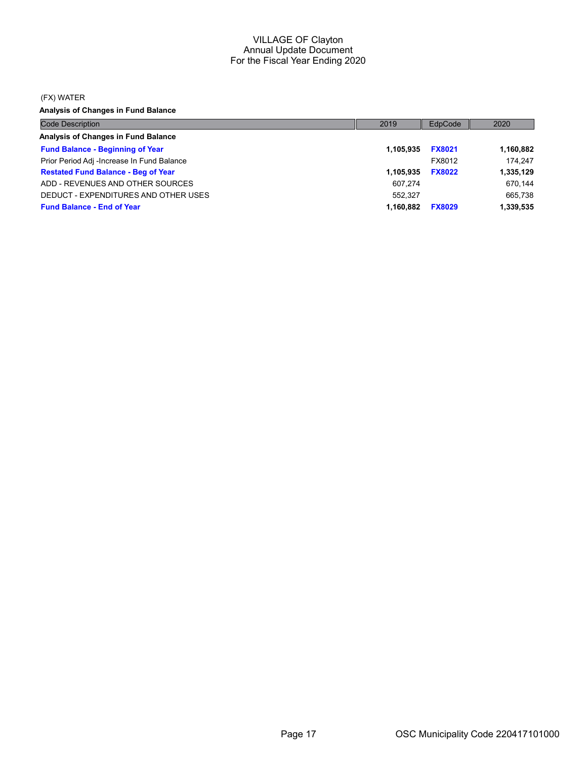#### (FX) WATER

Analysis of Changes in Fund Balance

| <b>Code Description</b>                    | 2019      | EdpCode       | 2020      |
|--------------------------------------------|-----------|---------------|-----------|
| Analysis of Changes in Fund Balance        |           |               |           |
| <b>Fund Balance - Beginning of Year</b>    | 1.105.935 | <b>FX8021</b> | 1,160,882 |
| Prior Period Adj -Increase In Fund Balance |           | FX8012        | 174.247   |
| <b>Restated Fund Balance - Beg of Year</b> | 1.105.935 | <b>FX8022</b> | 1,335,129 |
| ADD - REVENUES AND OTHER SOURCES           | 607.274   |               | 670,144   |
| DEDUCT - EXPENDITURES AND OTHER USES       | 552.327   |               | 665,738   |
| <b>Fund Balance - End of Year</b>          | 1.160.882 | <b>FX8029</b> | 1,339,535 |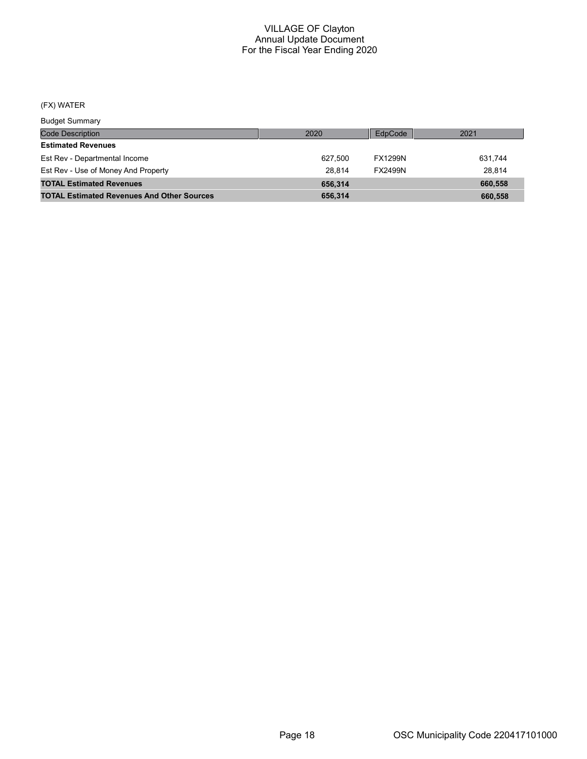#### (FX) WATER

Code Description Budget Summary 2020 EdpCode 2021 Estimated Revenues Est Rev - Departmental Income **627,500** FX1299N 631,744 Est Rev - Use of Money And Property **28,814** 28,814 FX2499N 28,814 TOTAL Estimated Revenues **656,314** 660,558 TOTAL Estimated Revenues And Other Sources 656,314 656,314 660,558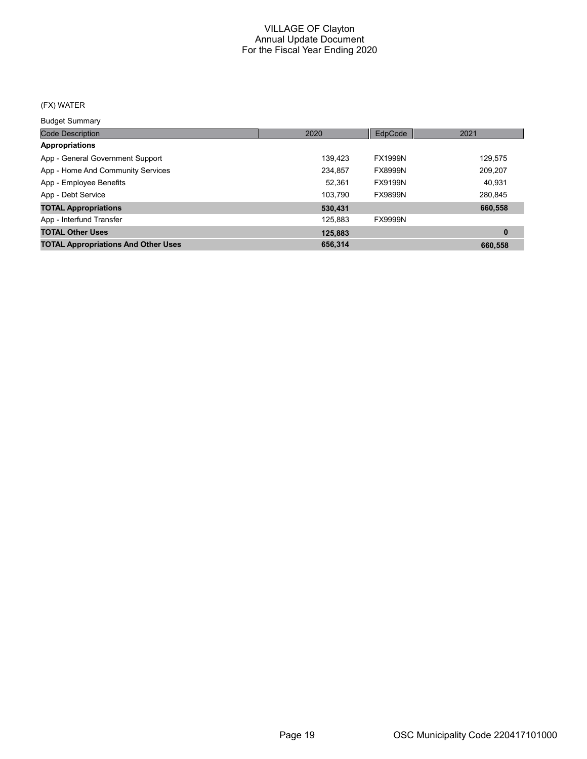## (FX) WATER

Budget Summary

| 2020    | EdpCode        | 2021     |
|---------|----------------|----------|
|         |                |          |
| 139.423 | <b>FX1999N</b> | 129,575  |
| 234,857 | <b>FX8999N</b> | 209,207  |
| 52,361  | <b>FX9199N</b> | 40,931   |
| 103.790 | <b>FX9899N</b> | 280,845  |
| 530,431 |                | 660,558  |
| 125,883 | <b>FX9999N</b> |          |
| 125,883 |                | $\bf{0}$ |
| 656,314 |                | 660,558  |
|         |                |          |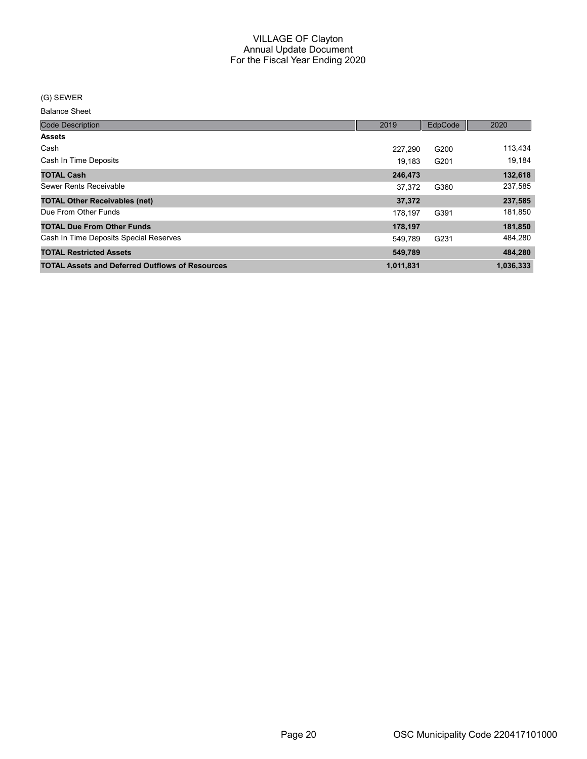#### (G) SEWER

| <b>Code Description</b>                                | 2019      | EdpCode | 2020      |
|--------------------------------------------------------|-----------|---------|-----------|
| <b>Assets</b>                                          |           |         |           |
| Cash                                                   | 227.290   | G200    | 113,434   |
| Cash In Time Deposits                                  | 19.183    | G201    | 19,184    |
| <b>TOTAL Cash</b>                                      | 246,473   |         | 132,618   |
| Sewer Rents Receivable                                 | 37.372    | G360    | 237,585   |
| <b>TOTAL Other Receivables (net)</b>                   | 37,372    |         | 237,585   |
| Due From Other Funds                                   | 178.197   | G391    | 181,850   |
| <b>TOTAL Due From Other Funds</b>                      | 178,197   |         | 181,850   |
| Cash In Time Deposits Special Reserves                 | 549.789   | G231    | 484,280   |
| <b>TOTAL Restricted Assets</b>                         | 549,789   |         | 484,280   |
| <b>TOTAL Assets and Deferred Outflows of Resources</b> | 1,011,831 |         | 1,036,333 |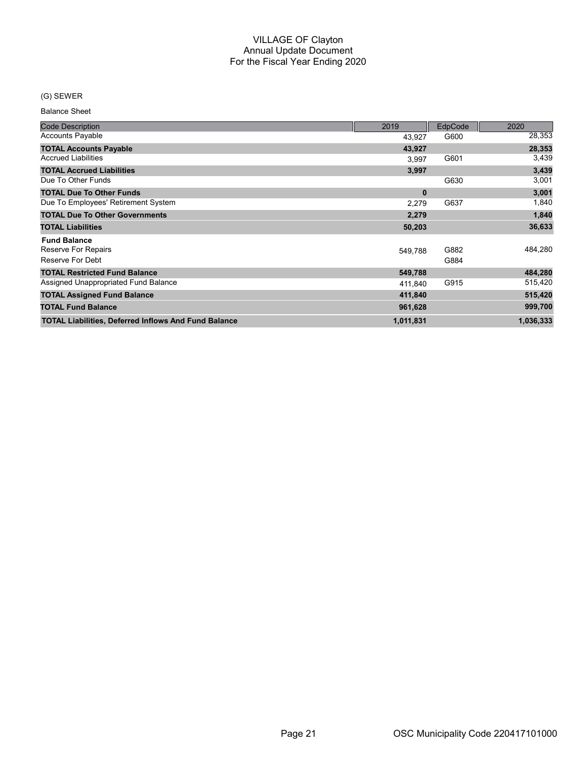## (G) SEWER

| <b>Code Description</b>                                     | 2019      | <b>EdpCode</b> | 2020      |
|-------------------------------------------------------------|-----------|----------------|-----------|
| <b>Accounts Payable</b>                                     | 43,927    | G600           | 28,353    |
| <b>TOTAL Accounts Payable</b>                               | 43,927    |                | 28,353    |
| <b>Accrued Liabilities</b>                                  | 3.997     | G601           | 3,439     |
| <b>TOTAL Accrued Liabilities</b>                            | 3,997     |                | 3,439     |
| Due To Other Funds                                          |           | G630           | 3,001     |
| <b>TOTAL Due To Other Funds</b>                             | $\bf{0}$  |                | 3,001     |
| Due To Employees' Retirement System                         | 2,279     | G637           | 1,840     |
| <b>TOTAL Due To Other Governments</b>                       | 2,279     |                | 1,840     |
| <b>TOTAL Liabilities</b>                                    | 50,203    |                | 36,633    |
| <b>Fund Balance</b>                                         |           |                |           |
| Reserve For Repairs                                         | 549,788   | G882           | 484,280   |
| Reserve For Debt                                            |           | G884           |           |
| <b>TOTAL Restricted Fund Balance</b>                        | 549,788   |                | 484,280   |
| Assigned Unappropriated Fund Balance                        | 411,840   | G915           | 515,420   |
| <b>TOTAL Assigned Fund Balance</b>                          | 411,840   |                | 515,420   |
| <b>TOTAL Fund Balance</b>                                   | 961,628   |                | 999,700   |
| <b>TOTAL Liabilities, Deferred Inflows And Fund Balance</b> | 1,011,831 |                | 1,036,333 |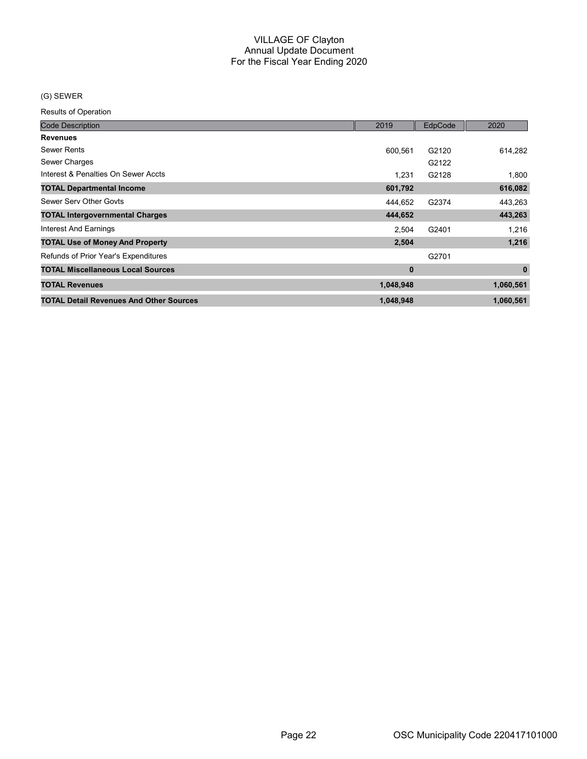## (G) SEWER

| <b>Code Description</b>                        | 2019      | EdpCode | 2020        |
|------------------------------------------------|-----------|---------|-------------|
| <b>Revenues</b>                                |           |         |             |
| <b>Sewer Rents</b>                             | 600.561   | G2120   | 614,282     |
| Sewer Charges                                  |           | G2122   |             |
| Interest & Penalties On Sewer Accts            | 1,231     | G2128   | 1,800       |
| <b>TOTAL Departmental Income</b>               | 601,792   |         | 616,082     |
| Sewer Serv Other Govts                         | 444,652   | G2374   | 443,263     |
| <b>TOTAL Intergovernmental Charges</b>         | 444,652   |         | 443,263     |
| <b>Interest And Earnings</b>                   | 2,504     | G2401   | 1,216       |
| <b>TOTAL Use of Money And Property</b>         | 2,504     |         | 1,216       |
| Refunds of Prior Year's Expenditures           |           | G2701   |             |
| <b>TOTAL Miscellaneous Local Sources</b>       | $\bf{0}$  |         | $\mathbf 0$ |
| <b>TOTAL Revenues</b>                          | 1,048,948 |         | 1,060,561   |
| <b>TOTAL Detail Revenues And Other Sources</b> | 1,048,948 |         | 1,060,561   |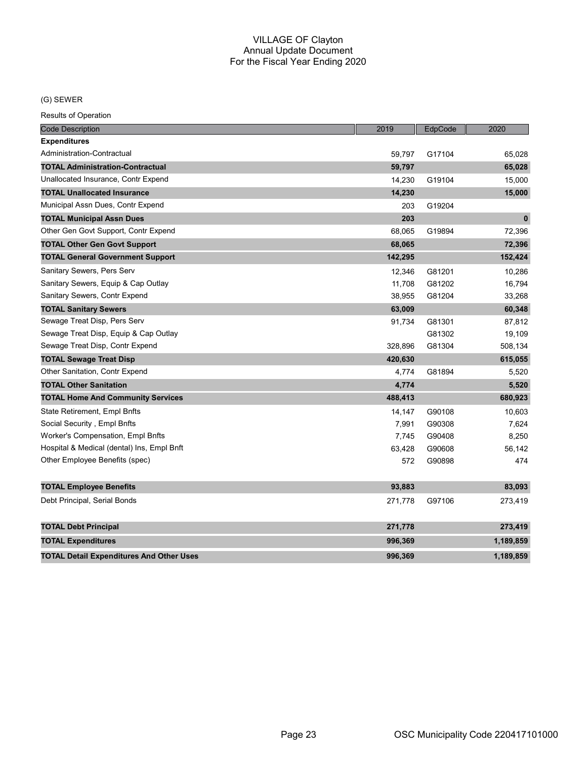## (G) SEWER

| <b>Code Description</b>                         | 2019    | EdpCode | 2020         |
|-------------------------------------------------|---------|---------|--------------|
| <b>Expenditures</b>                             |         |         |              |
| Administration-Contractual                      | 59,797  | G17104  | 65,028       |
| <b>TOTAL Administration-Contractual</b>         | 59,797  |         | 65,028       |
| Unallocated Insurance, Contr Expend             | 14,230  | G19104  | 15,000       |
| <b>TOTAL Unallocated Insurance</b>              | 14,230  |         | 15,000       |
| Municipal Assn Dues, Contr Expend               | 203     | G19204  |              |
| <b>TOTAL Municipal Assn Dues</b>                | 203     |         | $\mathbf{0}$ |
| Other Gen Govt Support, Contr Expend            | 68,065  | G19894  | 72,396       |
| <b>TOTAL Other Gen Govt Support</b>             | 68,065  |         | 72,396       |
| <b>TOTAL General Government Support</b>         | 142,295 |         | 152,424      |
| Sanitary Sewers, Pers Serv                      | 12,346  | G81201  | 10,286       |
| Sanitary Sewers, Equip & Cap Outlay             | 11,708  | G81202  | 16,794       |
| Sanitary Sewers, Contr Expend                   | 38,955  | G81204  | 33,268       |
| <b>TOTAL Sanitary Sewers</b>                    | 63,009  |         | 60,348       |
| Sewage Treat Disp, Pers Serv                    | 91,734  | G81301  | 87,812       |
| Sewage Treat Disp, Equip & Cap Outlay           |         | G81302  | 19,109       |
| Sewage Treat Disp, Contr Expend                 | 328.896 | G81304  | 508,134      |
| <b>TOTAL Sewage Treat Disp</b>                  | 420,630 |         | 615,055      |
| Other Sanitation, Contr Expend                  | 4,774   | G81894  | 5,520        |
| <b>TOTAL Other Sanitation</b>                   | 4,774   |         | 5,520        |
| <b>TOTAL Home And Community Services</b>        | 488,413 |         | 680,923      |
| State Retirement, Empl Bnfts                    | 14,147  | G90108  | 10,603       |
| Social Security, Empl Bnfts                     | 7,991   | G90308  | 7,624        |
| Worker's Compensation, Empl Bnfts               | 7,745   | G90408  | 8,250        |
| Hospital & Medical (dental) Ins, Empl Bnft      | 63,428  | G90608  | 56,142       |
| Other Employee Benefits (spec)                  | 572     | G90898  | 474          |
| <b>TOTAL Employee Benefits</b>                  | 93,883  |         | 83,093       |
| Debt Principal, Serial Bonds                    | 271,778 | G97106  | 273,419      |
| <b>TOTAL Debt Principal</b>                     | 271,778 |         | 273,419      |
| <b>TOTAL Expenditures</b>                       | 996,369 |         | 1,189,859    |
| <b>TOTAL Detail Expenditures And Other Uses</b> | 996.369 |         | 1.189.859    |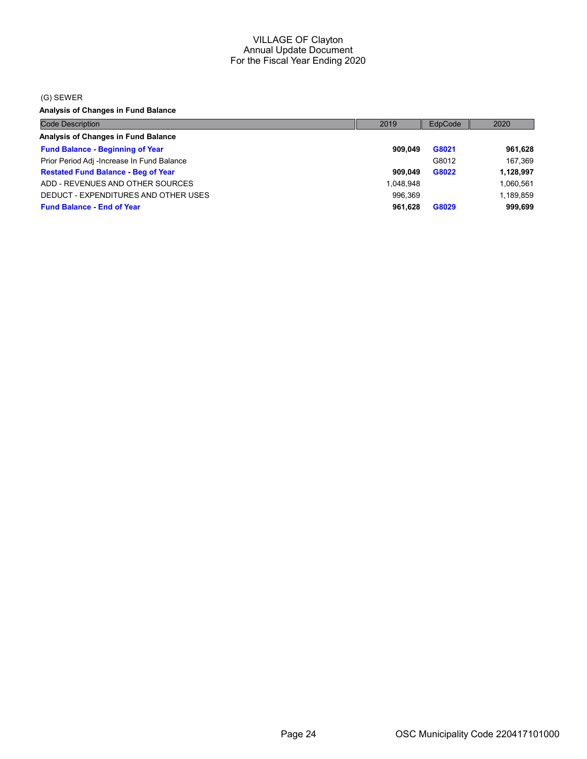#### (G) SEWER

Analysis of Changes in Fund Balance

| <b>Code Description</b>                    | 2019      | EdpCode | 2020      |
|--------------------------------------------|-----------|---------|-----------|
| Analysis of Changes in Fund Balance        |           |         |           |
| <b>Fund Balance - Beginning of Year</b>    | 909.049   | G8021   | 961,628   |
| Prior Period Adj -Increase In Fund Balance |           | G8012   | 167.369   |
| <b>Restated Fund Balance - Beg of Year</b> | 909.049   | G8022   | 1,128,997 |
| ADD - REVENUES AND OTHER SOURCES           | 1,048,948 |         | 1,060,561 |
| DEDUCT - EXPENDITURES AND OTHER USES       | 996.369   |         | 1,189,859 |
| <b>Fund Balance - End of Year</b>          | 961,628   | G8029   | 999,699   |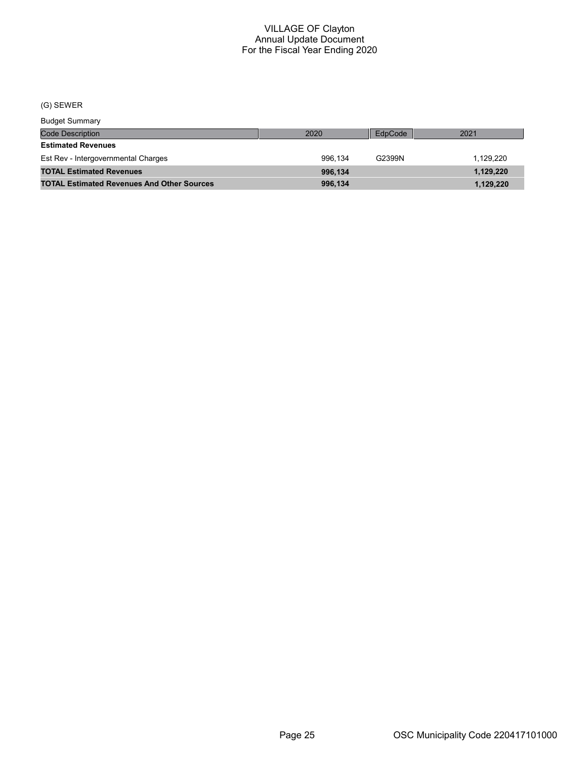## (G) SEWER

Budget Summary

| <b>Code Description</b>                           | 2020    | EdpCode | 2021      |
|---------------------------------------------------|---------|---------|-----------|
| <b>Estimated Revenues</b>                         |         |         |           |
| Est Rev - Intergovernmental Charges               | 996.134 | G2399N  | 1.129.220 |
| <b>TOTAL Estimated Revenues</b>                   | 996.134 |         | 1,129,220 |
| <b>TOTAL Estimated Revenues And Other Sources</b> | 996.134 |         | 1,129,220 |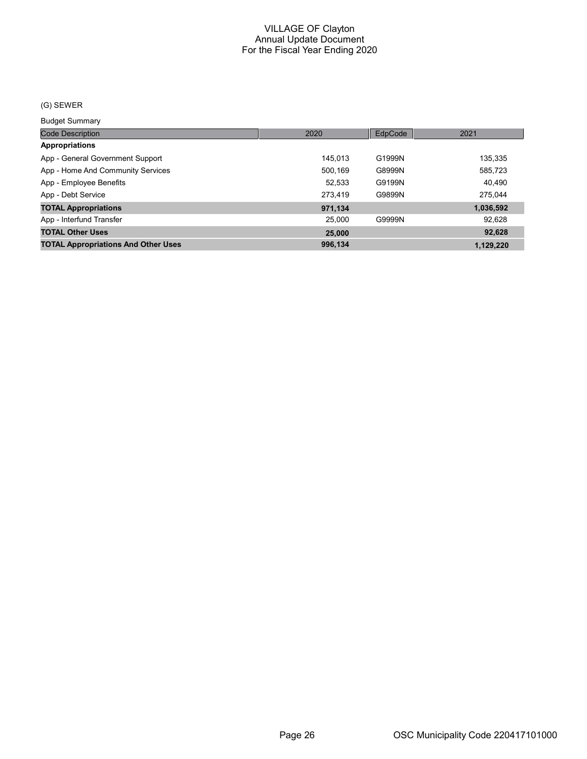## (G) SEWER

Budget Summary

| ___________                                |         |         |           |
|--------------------------------------------|---------|---------|-----------|
| <b>Code Description</b>                    | 2020    | EdpCode | 2021      |
| <b>Appropriations</b>                      |         |         |           |
| App - General Government Support           | 145.013 | G1999N  | 135,335   |
| App - Home And Community Services          | 500,169 | G8999N  | 585,723   |
| App - Employee Benefits                    | 52,533  | G9199N  | 40,490    |
| App - Debt Service                         | 273.419 | G9899N  | 275.044   |
| <b>TOTAL Appropriations</b>                | 971,134 |         | 1,036,592 |
| App - Interfund Transfer                   | 25.000  | G9999N  | 92,628    |
| <b>TOTAL Other Uses</b>                    | 25,000  |         | 92,628    |
| <b>TOTAL Appropriations And Other Uses</b> | 996.134 |         | 1.129.220 |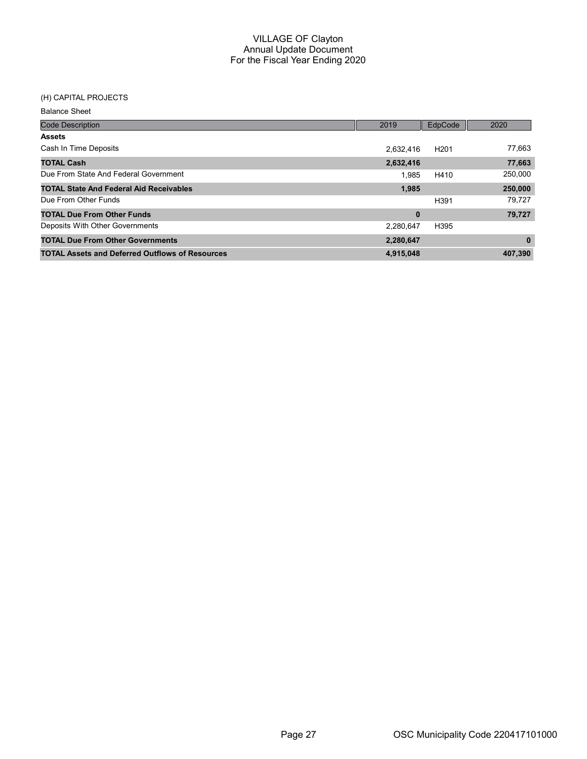## (H) CAPITAL PROJECTS

| <b>Code Description</b>                                | 2019      | EdpCode          | 2020     |
|--------------------------------------------------------|-----------|------------------|----------|
| <b>Assets</b>                                          |           |                  |          |
| Cash In Time Deposits                                  | 2,632,416 | H <sub>201</sub> | 77,663   |
| <b>TOTAL Cash</b>                                      | 2,632,416 |                  | 77,663   |
| Due From State And Federal Government                  | 1.985     | H410             | 250,000  |
| <b>TOTAL State And Federal Aid Receivables</b>         | 1.985     |                  | 250,000  |
| Due From Other Funds                                   |           | H391             | 79,727   |
| <b>TOTAL Due From Other Funds</b>                      | $\bf{0}$  |                  | 79,727   |
| Deposits With Other Governments                        | 2,280,647 | H395             |          |
| <b>TOTAL Due From Other Governments</b>                | 2,280,647 |                  | $\bf{0}$ |
| <b>TOTAL Assets and Deferred Outflows of Resources</b> | 4,915,048 |                  | 407,390  |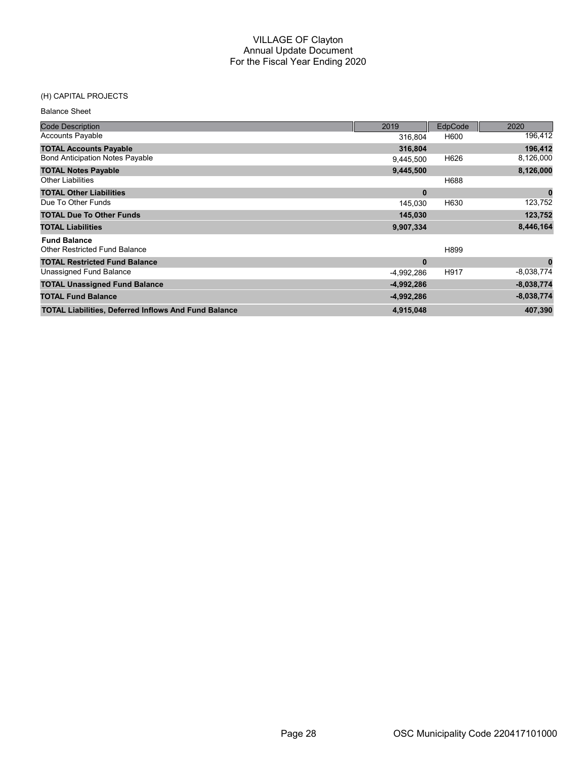#### (H) CAPITAL PROJECTS

| <b>Balance Sheet</b>                                        |              |         |              |
|-------------------------------------------------------------|--------------|---------|--------------|
| <b>Code Description</b>                                     | 2019         | EdpCode | 2020         |
| <b>Accounts Payable</b>                                     | 316,804      | H600    | 196,412      |
| <b>TOTAL Accounts Payable</b>                               | 316,804      |         | 196,412      |
| <b>Bond Anticipation Notes Payable</b>                      | 9,445,500    | H626    | 8,126,000    |
| <b>TOTAL Notes Payable</b>                                  | 9,445,500    |         | 8,126,000    |
| <b>Other Liabilities</b>                                    |              | H688    |              |
| <b>TOTAL Other Liabilities</b>                              | $\bf{0}$     |         | $\bf{0}$     |
| Due To Other Funds                                          | 145,030      | H630    | 123,752      |
| <b>TOTAL Due To Other Funds</b>                             | 145,030      |         | 123,752      |
| <b>TOTAL Liabilities</b>                                    | 9,907,334    |         | 8,446,164    |
| <b>Fund Balance</b>                                         |              |         |              |
| <b>Other Restricted Fund Balance</b>                        |              | H899    |              |
| <b>TOTAL Restricted Fund Balance</b>                        | $\bf{0}$     |         | $\mathbf{0}$ |
| Unassigned Fund Balance                                     | -4,992,286   | H917    | $-8,038,774$ |
| <b>TOTAL Unassigned Fund Balance</b>                        | $-4,992,286$ |         | $-8,038,774$ |
| <b>TOTAL Fund Balance</b>                                   | $-4,992,286$ |         | $-8,038,774$ |
| <b>TOTAL Liabilities, Deferred Inflows And Fund Balance</b> | 4,915,048    |         | 407,390      |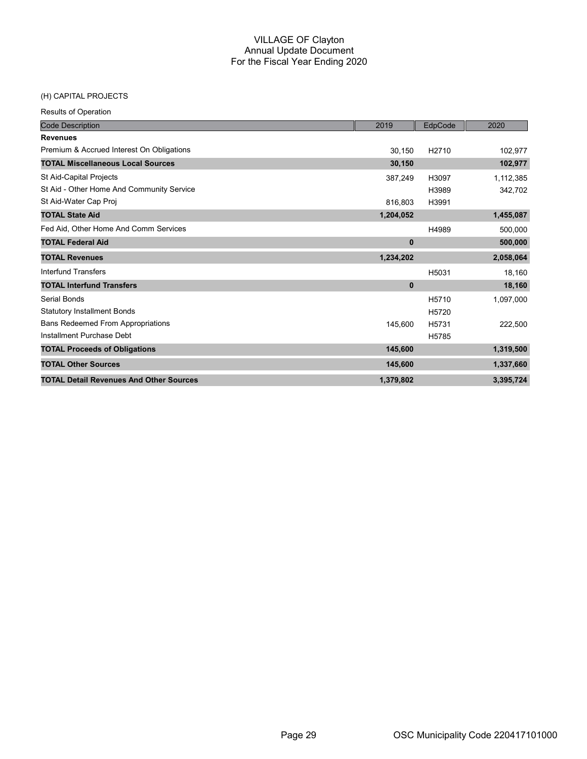## (H) CAPITAL PROJECTS

| <b>Code Description</b>                        | 2019      | EdpCode | 2020      |
|------------------------------------------------|-----------|---------|-----------|
| <b>Revenues</b>                                |           |         |           |
| Premium & Accrued Interest On Obligations      | 30,150    | H2710   | 102,977   |
| <b>TOTAL Miscellaneous Local Sources</b>       | 30,150    |         | 102,977   |
| St Aid-Capital Projects                        | 387,249   | H3097   | 1,112,385 |
| St Aid - Other Home And Community Service      |           | H3989   | 342,702   |
| St Aid-Water Cap Proj                          | 816,803   | H3991   |           |
| <b>TOTAL State Aid</b>                         | 1,204,052 |         | 1,455,087 |
| Fed Aid, Other Home And Comm Services          |           | H4989   | 500,000   |
| <b>TOTAL Federal Aid</b>                       | $\bf{0}$  |         | 500,000   |
| <b>TOTAL Revenues</b>                          | 1,234,202 |         | 2,058,064 |
| <b>Interfund Transfers</b>                     |           | H5031   | 18,160    |
| <b>TOTAL Interfund Transfers</b>               | $\bf{0}$  |         | 18,160    |
| Serial Bonds                                   |           | H5710   | 1,097,000 |
| <b>Statutory Installment Bonds</b>             |           | H5720   |           |
| <b>Bans Redeemed From Appropriations</b>       | 145,600   | H5731   | 222,500   |
| Installment Purchase Debt                      |           | H5785   |           |
| <b>TOTAL Proceeds of Obligations</b>           | 145,600   |         | 1,319,500 |
| <b>TOTAL Other Sources</b>                     | 145,600   |         | 1,337,660 |
| <b>TOTAL Detail Revenues And Other Sources</b> | 1,379,802 |         | 3,395,724 |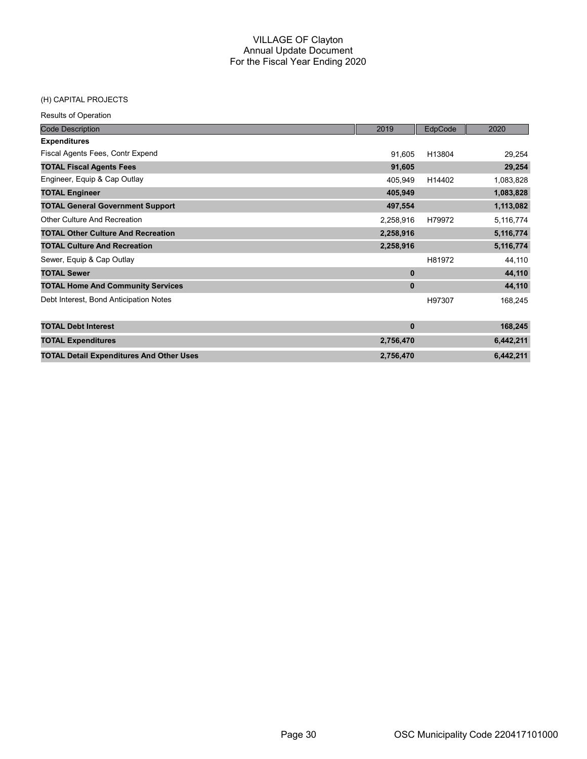#### (H) CAPITAL PROJECTS

| <b>Code Description</b>                         | 2019      | EdpCode | 2020      |
|-------------------------------------------------|-----------|---------|-----------|
| <b>Expenditures</b>                             |           |         |           |
| Fiscal Agents Fees, Contr Expend                | 91,605    | H13804  | 29,254    |
| <b>TOTAL Fiscal Agents Fees</b>                 | 91,605    |         | 29,254    |
| Engineer, Equip & Cap Outlay                    | 405,949   | H14402  | 1,083,828 |
| <b>TOTAL Engineer</b>                           | 405,949   |         | 1,083,828 |
| <b>TOTAL General Government Support</b>         | 497,554   |         | 1,113,082 |
| <b>Other Culture And Recreation</b>             | 2,258,916 | H79972  | 5,116,774 |
| <b>TOTAL Other Culture And Recreation</b>       | 2,258,916 |         | 5,116,774 |
| <b>TOTAL Culture And Recreation</b>             | 2,258,916 |         | 5,116,774 |
| Sewer, Equip & Cap Outlay                       |           | H81972  | 44,110    |
| <b>TOTAL Sewer</b>                              | $\bf{0}$  |         | 44,110    |
| <b>TOTAL Home And Community Services</b>        | $\bf{0}$  |         | 44,110    |
| Debt Interest, Bond Anticipation Notes          |           | H97307  | 168,245   |
| <b>TOTAL Debt Interest</b>                      | $\bf{0}$  |         | 168,245   |
| <b>TOTAL Expenditures</b>                       | 2,756,470 |         | 6,442,211 |
| <b>TOTAL Detail Expenditures And Other Uses</b> | 2,756,470 |         | 6,442,211 |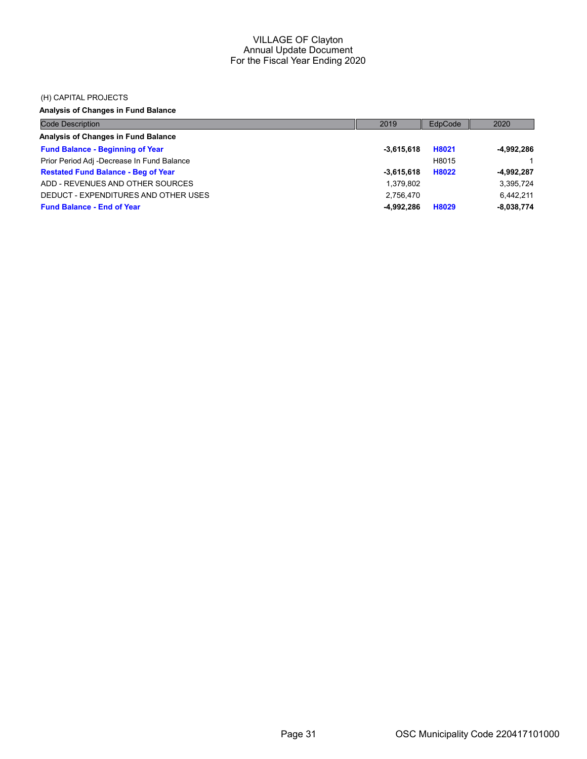#### (H) CAPITAL PROJECTS

Analysis of Changes in Fund Balance

| <b>Code Description</b>                    | 2019         | EdpCode | 2020         |
|--------------------------------------------|--------------|---------|--------------|
| Analysis of Changes in Fund Balance        |              |         |              |
| <b>Fund Balance - Beginning of Year</b>    | $-3,615,618$ | H8021   | -4,992,286   |
| Prior Period Adj -Decrease In Fund Balance |              | H8015   |              |
| <b>Restated Fund Balance - Beg of Year</b> | $-3.615.618$ | H8022   | -4,992,287   |
| ADD - REVENUES AND OTHER SOURCES           | 1,379,802    |         | 3,395,724    |
| DEDUCT - EXPENDITURES AND OTHER USES       | 2.756.470    |         | 6,442,211    |
| <b>Fund Balance - End of Year</b>          | $-4.992.286$ | H8029   | $-8,038,774$ |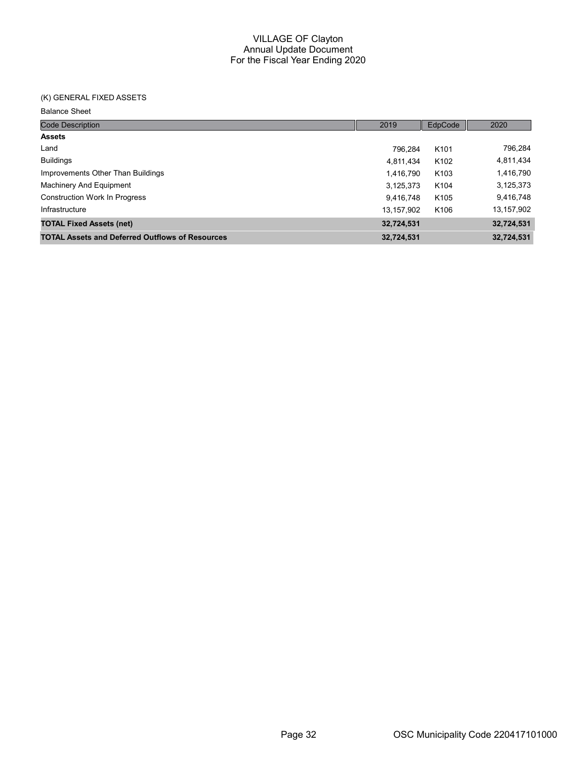## (K) GENERAL FIXED ASSETS

| <b>Code Description</b>                                | 2019       | EdpCode          | 2020       |
|--------------------------------------------------------|------------|------------------|------------|
| <b>Assets</b>                                          |            |                  |            |
| Land                                                   | 796.284    | K <sub>101</sub> | 796,284    |
| <b>Buildings</b>                                       | 4,811,434  | K <sub>102</sub> | 4,811,434  |
| Improvements Other Than Buildings                      | 1,416,790  | K <sub>103</sub> | 1,416,790  |
| Machinery And Equipment                                | 3,125,373  | K104             | 3,125,373  |
| <b>Construction Work In Progress</b>                   | 9,416,748  | K <sub>105</sub> | 9,416,748  |
| Infrastructure                                         | 13,157,902 | K106             | 13,157,902 |
| <b>TOTAL Fixed Assets (net)</b>                        | 32,724,531 |                  | 32,724,531 |
| <b>TOTAL Assets and Deferred Outflows of Resources</b> | 32,724,531 |                  | 32,724,531 |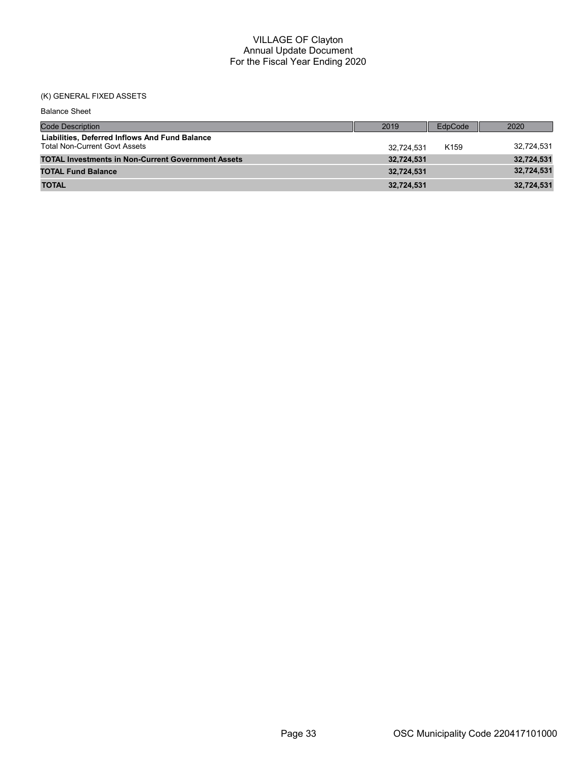## (K) GENERAL FIXED ASSETS

| <b>Balance Sheet</b>                                                                   |            |                  |            |
|----------------------------------------------------------------------------------------|------------|------------------|------------|
| <b>Code Description</b>                                                                | 2019       | EdpCode          | 2020       |
| Liabilities, Deferred Inflows And Fund Balance<br><b>Total Non-Current Govt Assets</b> | 32.724.531 | K <sub>159</sub> | 32,724,531 |
| <b>TOTAL Investments in Non-Current Government Assets</b>                              | 32,724,531 |                  | 32,724,531 |
| <b>TOTAL Fund Balance</b>                                                              | 32.724.531 |                  | 32,724,531 |
| <b>TOTAL</b>                                                                           | 32,724,531 |                  | 32,724,531 |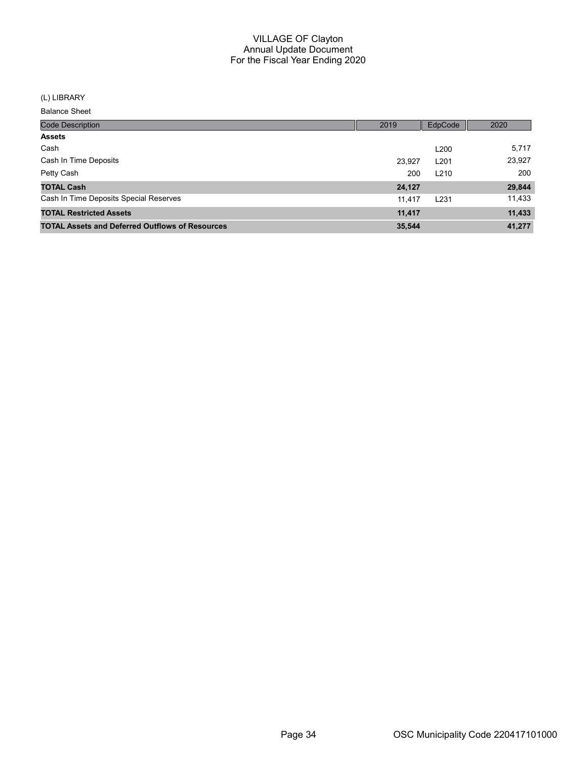#### (L) LIBRARY

| <b>Code Description</b>                                | 2019   | EdpCode          | 2020   |
|--------------------------------------------------------|--------|------------------|--------|
| <b>Assets</b>                                          |        |                  |        |
| Cash                                                   |        | L <sub>200</sub> | 5,717  |
| Cash In Time Deposits                                  | 23,927 | L <sub>201</sub> | 23,927 |
| Petty Cash                                             | 200    | L <sub>210</sub> | 200    |
| <b>TOTAL Cash</b>                                      | 24,127 |                  | 29,844 |
| Cash In Time Deposits Special Reserves                 | 11.417 | L <sub>231</sub> | 11,433 |
| <b>TOTAL Restricted Assets</b>                         | 11,417 |                  | 11,433 |
| <b>TOTAL Assets and Deferred Outflows of Resources</b> | 35,544 |                  | 41,277 |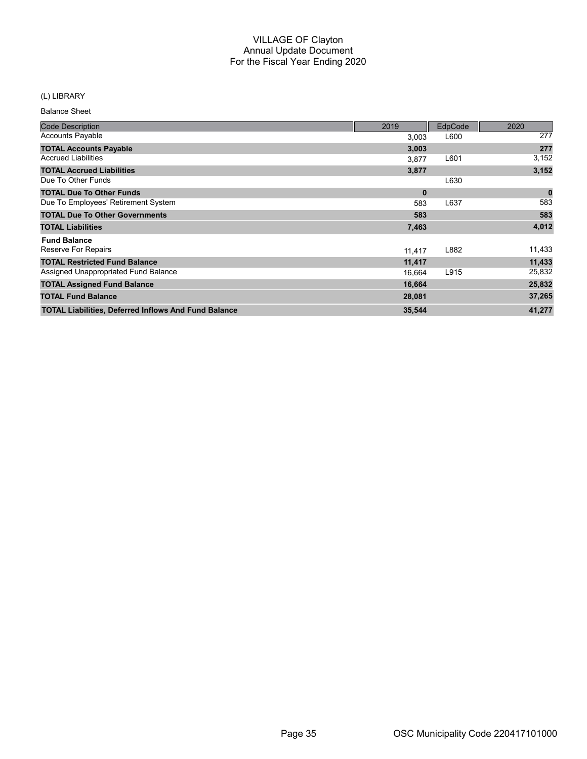## (L) LIBRARY

| <b>Code Description</b>                                     | 2019     | EdpCode | 2020        |
|-------------------------------------------------------------|----------|---------|-------------|
| <b>Accounts Payable</b>                                     | 3,003    | L600    | 277         |
| <b>TOTAL Accounts Payable</b>                               | 3,003    |         | 277         |
| <b>Accrued Liabilities</b>                                  | 3,877    | L601    | 3,152       |
| <b>TOTAL Accrued Liabilities</b>                            | 3,877    |         | 3,152       |
| Due To Other Funds                                          |          | L630    |             |
| <b>TOTAL Due To Other Funds</b>                             | $\bf{0}$ |         | $\mathbf 0$ |
| Due To Employees' Retirement System                         | 583      | L637    | 583         |
| <b>TOTAL Due To Other Governments</b>                       | 583      |         | 583         |
| <b>TOTAL Liabilities</b>                                    | 7,463    |         | 4,012       |
| <b>Fund Balance</b>                                         |          |         |             |
| Reserve For Repairs                                         | 11,417   | L882    | 11,433      |
| <b>TOTAL Restricted Fund Balance</b>                        | 11,417   |         | 11,433      |
| Assigned Unappropriated Fund Balance                        | 16,664   | L915    | 25,832      |
| <b>TOTAL Assigned Fund Balance</b>                          | 16,664   |         | 25,832      |
| <b>TOTAL Fund Balance</b>                                   | 28,081   |         | 37,265      |
| <b>TOTAL Liabilities, Deferred Inflows And Fund Balance</b> | 35,544   |         | 41,277      |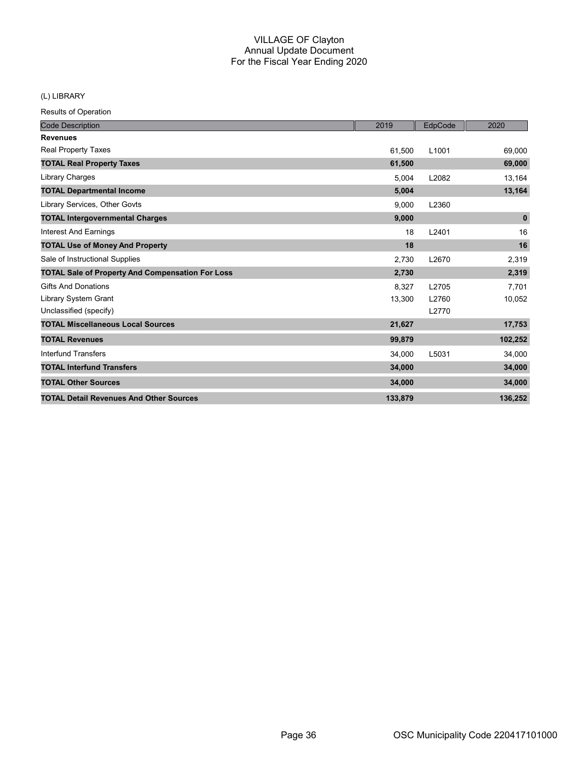(L) LIBRARY

| <b>Code Description</b>                                 | 2019    | EdpCode           | 2020        |
|---------------------------------------------------------|---------|-------------------|-------------|
| <b>Revenues</b>                                         |         |                   |             |
| Real Property Taxes                                     | 61,500  | L <sub>1001</sub> | 69,000      |
| <b>TOTAL Real Property Taxes</b>                        | 61,500  |                   | 69,000      |
| Library Charges                                         | 5,004   | L2082             | 13,164      |
| <b>TOTAL Departmental Income</b>                        | 5,004   |                   | 13,164      |
| Library Services, Other Govts                           | 9,000   | L2360             |             |
| <b>TOTAL Intergovernmental Charges</b>                  | 9,000   |                   | $\mathbf 0$ |
| Interest And Earnings                                   | 18      | L2401             | 16          |
| <b>TOTAL Use of Money And Property</b>                  | 18      |                   | 16          |
| Sale of Instructional Supplies                          | 2,730   | L2670             | 2,319       |
| <b>TOTAL Sale of Property And Compensation For Loss</b> | 2,730   |                   | 2,319       |
| <b>Gifts And Donations</b>                              | 8.327   | L2705             | 7,701       |
| Library System Grant                                    | 13,300  | L2760             | 10,052      |
| Unclassified (specify)                                  |         | L2770             |             |
| <b>TOTAL Miscellaneous Local Sources</b>                | 21,627  |                   | 17,753      |
| <b>TOTAL Revenues</b>                                   | 99,879  |                   | 102,252     |
| <b>Interfund Transfers</b>                              | 34.000  | L5031             | 34,000      |
| <b>TOTAL Interfund Transfers</b>                        | 34,000  |                   | 34,000      |
| <b>TOTAL Other Sources</b>                              | 34,000  |                   | 34,000      |
| <b>TOTAL Detail Revenues And Other Sources</b>          | 133,879 |                   | 136,252     |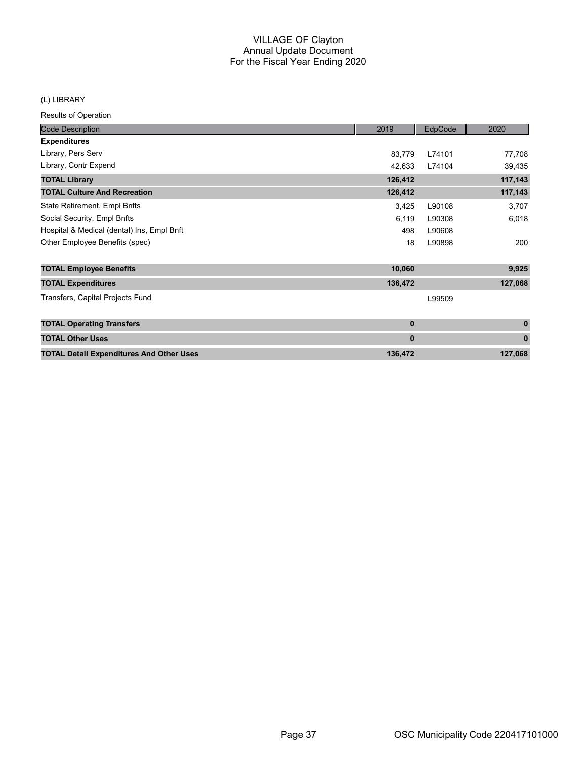#### (L) LIBRARY

| <b>Code Description</b>                         | 2019         | EdpCode | 2020         |
|-------------------------------------------------|--------------|---------|--------------|
| <b>Expenditures</b>                             |              |         |              |
| Library, Pers Serv                              | 83,779       | L74101  | 77,708       |
| Library, Contr Expend                           | 42,633       | L74104  | 39,435       |
| <b>TOTAL Library</b>                            | 126,412      |         | 117,143      |
| <b>TOTAL Culture And Recreation</b>             | 126,412      |         | 117,143      |
| State Retirement, Empl Bnfts                    | 3,425        | L90108  | 3,707        |
| Social Security, Empl Bnfts                     | 6,119        | L90308  | 6,018        |
| Hospital & Medical (dental) Ins, Empl Bnft      | 498          | L90608  |              |
| Other Employee Benefits (spec)                  | 18           | L90898  | 200          |
| <b>TOTAL Employee Benefits</b>                  | 10,060       |         | 9,925        |
| <b>TOTAL Expenditures</b>                       | 136,472      |         | 127,068      |
| Transfers, Capital Projects Fund                |              | L99509  |              |
| <b>TOTAL Operating Transfers</b>                | $\bf{0}$     |         | $\mathbf{0}$ |
| <b>TOTAL Other Uses</b>                         | $\mathbf{0}$ |         | $\mathbf{0}$ |
| <b>TOTAL Detail Expenditures And Other Uses</b> | 136,472      |         | 127,068      |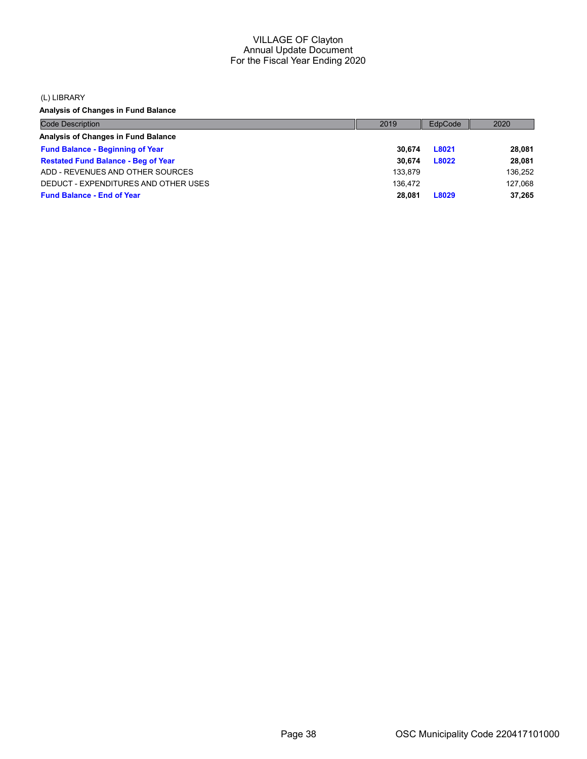(L) LIBRARY

Analysis of Changes in Fund Balance

| <b>Code Description</b>                    | 2019    | EdpCode | 2020    |
|--------------------------------------------|---------|---------|---------|
| Analysis of Changes in Fund Balance        |         |         |         |
| <b>Fund Balance - Beginning of Year</b>    | 30.674  | L8021   | 28,081  |
| <b>Restated Fund Balance - Beg of Year</b> | 30.674  | L8022   | 28,081  |
| ADD - REVENUES AND OTHER SOURCES           | 133.879 |         | 136,252 |
| DEDUCT - EXPENDITURES AND OTHER USES       | 136.472 |         | 127,068 |
| <b>Fund Balance - End of Year</b>          | 28.081  | L8029   | 37,265  |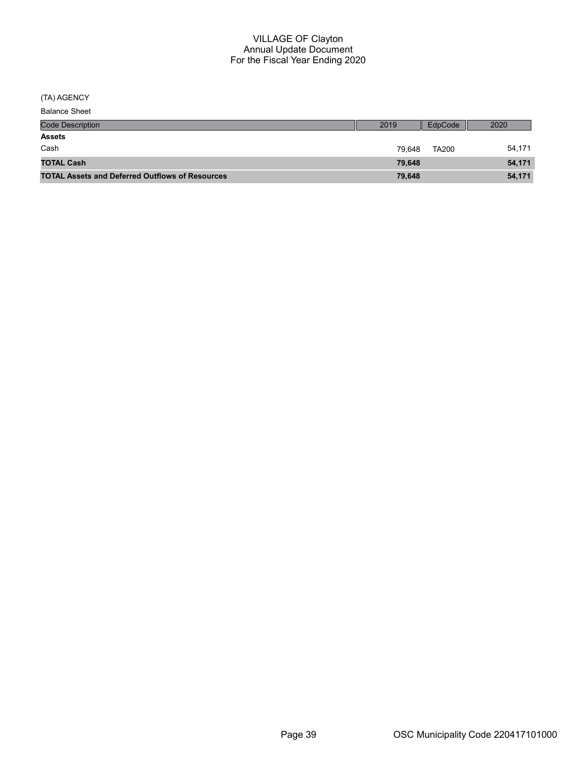(TA) AGENCY

| <b>Code Description</b>                                | 2019   | EdpCode      | 2020   |
|--------------------------------------------------------|--------|--------------|--------|
| <b>Assets</b>                                          |        |              |        |
| Cash                                                   | 79.648 | <b>TA200</b> | 54,171 |
| <b>TOTAL Cash</b>                                      | 79.648 |              | 54,171 |
| <b>TOTAL Assets and Deferred Outflows of Resources</b> | 79,648 |              | 54,171 |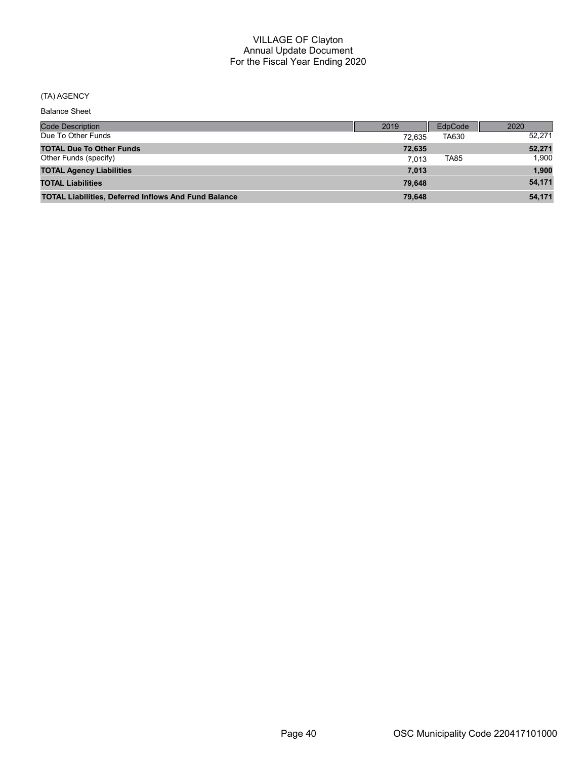## (TA) AGENCY

| <b>Code Description</b>                                     | 2019   | EdpCode     | 2020   |
|-------------------------------------------------------------|--------|-------------|--------|
| Due To Other Funds                                          | 72.635 | TA630       | 52.271 |
| <b>TOTAL Due To Other Funds</b>                             | 72.635 |             | 52,271 |
| Other Funds (specify)                                       | 7.013  | <b>TA85</b> | 1.900  |
| <b>TOTAL Agency Liabilities</b>                             | 7,013  |             | 1,900  |
| <b>TOTAL Liabilities</b>                                    | 79.648 |             | 54,171 |
| <b>TOTAL Liabilities, Deferred Inflows And Fund Balance</b> | 79.648 |             | 54.171 |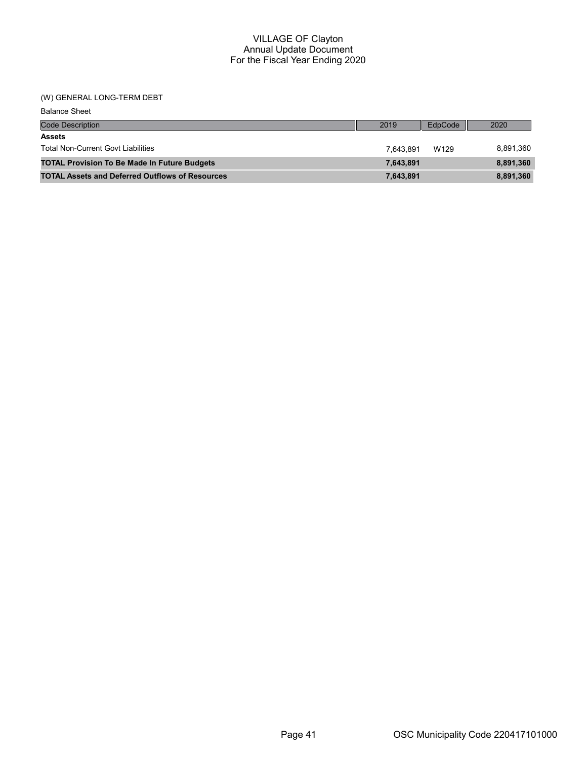## (W) GENERAL LONG-TERM DEBT

| <b>Balance Sheet</b>                                   |           |         |           |
|--------------------------------------------------------|-----------|---------|-----------|
| <b>Code Description</b>                                | 2019      | EdpCode | 2020      |
| <b>Assets</b>                                          |           |         |           |
| <b>Total Non-Current Govt Liabilities</b>              | 7.643.891 | W129    | 8,891,360 |
| <b>TOTAL Provision To Be Made In Future Budgets</b>    | 7,643,891 |         | 8,891,360 |
| <b>TOTAL Assets and Deferred Outflows of Resources</b> | 7,643,891 |         | 8,891,360 |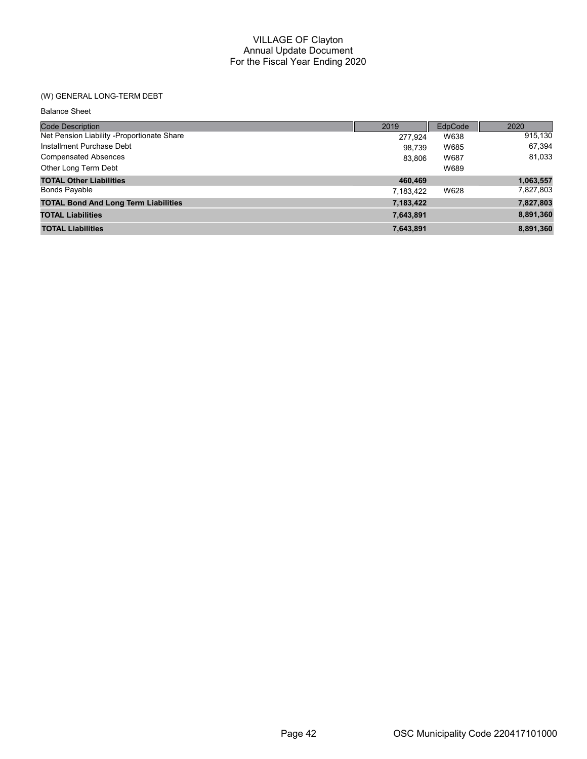## (W) GENERAL LONG-TERM DEBT

| <b>Balance Sheet</b> |  |  |
|----------------------|--|--|
|----------------------|--|--|

| <b>Code Description</b>                     | 2019      | EdpCode | 2020      |
|---------------------------------------------|-----------|---------|-----------|
| Net Pension Liability -Proportionate Share  | 277.924   | W638    | 915,130   |
| Installment Purchase Debt                   | 98.739    | W685    | 67,394    |
| <b>Compensated Absences</b>                 | 83.806    | W687    | 81,033    |
| Other Long Term Debt                        |           | W689    |           |
| <b>TOTAL Other Liabilities</b>              | 460,469   |         | 1,063,557 |
| <b>Bonds Payable</b>                        | 7,183,422 | W628    | 7,827,803 |
| <b>TOTAL Bond And Long Term Liabilities</b> | 7,183,422 |         | 7,827,803 |
| <b>TOTAL Liabilities</b>                    | 7,643,891 |         | 8,891,360 |
| <b>TOTAL Liabilities</b>                    | 7,643,891 |         | 8,891,360 |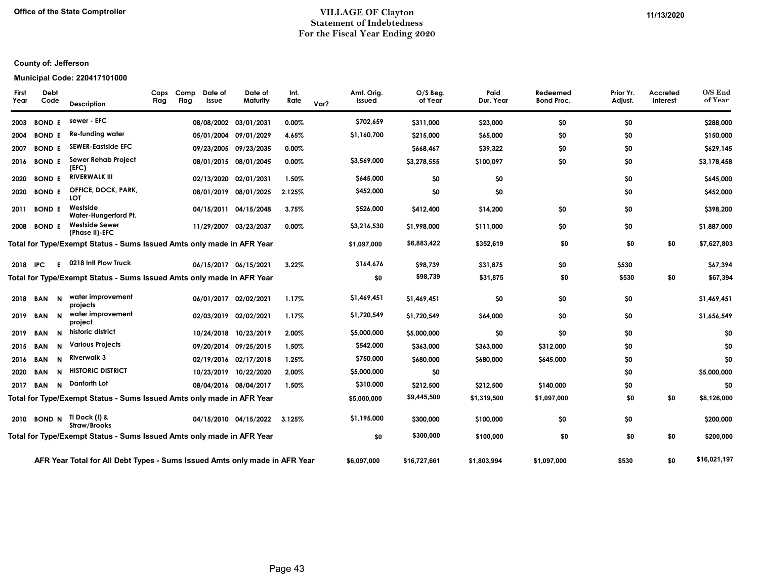#### Office of the State Comptroller **Example 2020** VILLAGE OF Clayton **VILLAGE OF Clayton** Statement of Indebtedness For the Fiscal Year Ending 2020

## County of: Jefferson

#### Municipal Code: 220417101000

| <b>First</b><br>Year | Debt<br>Code  |             | Description                                                                | Cops<br>Flag | Comp<br>Flag | Date of<br>Issue | Date of<br>Maturity   | Int.<br>Rate | Var? | Amt. Orig.<br>Issued | O/S Beg.<br>of Year | Paid<br>Dur. Year | Redeemed<br><b>Bond Proc.</b> | Prior Yr.<br>Adjust. | Accreted<br>Interest | O/S End<br>of Year |
|----------------------|---------------|-------------|----------------------------------------------------------------------------|--------------|--------------|------------------|-----------------------|--------------|------|----------------------|---------------------|-------------------|-------------------------------|----------------------|----------------------|--------------------|
| 2003                 | <b>BOND E</b> |             | sewer - EFC                                                                |              |              |                  | 08/08/2002 03/01/2031 | 0.00%        |      | \$702,659            | \$311,000           | \$23,000          | \$0                           | \$0                  |                      | \$288,000          |
| 2004                 | <b>BOND E</b> |             | Re-funding water                                                           |              |              |                  | 05/01/2004 09/01/2029 | 4.65%        |      | \$1,160,700          | \$215,000           | \$65,000          | \$0                           | \$0                  |                      | \$150,000          |
| 2007                 | <b>BOND E</b> |             | <b>SEWER-Eastside EFC</b>                                                  |              |              |                  | 09/23/2005 09/23/2035 | 0.00%        |      |                      | \$668,467           | \$39,322          | \$0                           | \$0                  |                      | \$629,145          |
| 2016                 | <b>BOND E</b> |             | Sewer Rehab Project<br>(EFC)                                               |              |              |                  | 08/01/2015 08/01/2045 | $0.00\%$     |      | \$3,569,000          | \$3,278,555         | \$100,097         | \$0                           | \$0                  |                      | \$3,178,458        |
| 2020                 | <b>BOND E</b> |             | <b>RIVERWALK III</b>                                                       |              |              |                  | 02/13/2020 02/01/2031 | 1.50%        |      | \$645,000            | \$0                 | \$0               |                               | \$0                  |                      | \$645,000          |
| 2020                 | <b>BOND E</b> |             | OFFICE, DOCK, PARK,<br>LOT                                                 |              |              |                  | 08/01/2019 08/01/2025 | 2.125%       |      | \$452,000            | \$0                 | \$0               |                               | \$0                  |                      | \$452,000          |
| 2011                 | <b>BOND E</b> |             | Westside<br>Water-Hungerford Pt.                                           |              |              |                  | 04/15/2011 04/15/2048 | 3.75%        |      | \$526,000            | \$412,400           | \$14,200          | \$0                           | \$0                  |                      | \$398,200          |
| 2008                 | <b>BOND E</b> |             | <b>Westside Sewer</b><br>(Phase II)-EFC                                    |              |              |                  | 11/29/2007 03/23/2037 | 0.00%        |      | \$3,216,530          | \$1,998,000         | \$111,000         | \$0                           | \$0                  |                      | \$1,887,000        |
|                      |               |             | Total for Type/Exempt Status - Sums Issued Amts only made in AFR Year      |              |              |                  |                       |              |      | \$1,097,000          | \$6,883,422         | \$352,619         | \$0                           | \$0                  | \$0                  | \$7,627,803        |
| 2018                 | <b>IPC</b>    | F.          | 0218 Intl Plow Truck                                                       |              |              |                  | 06/15/2017 06/15/2021 | 3.22%        |      | \$164,676            | \$98,739            | \$31,875          | \$0                           | \$530                |                      | \$67,394           |
|                      |               |             | Total for Type/Exempt Status - Sums Issued Amts only made in AFR Year      |              |              |                  |                       |              |      | \$0                  | \$98,739            | \$31,875          | \$0                           | \$530                | \$0                  | \$67,394           |
| 2018                 | <b>BAN</b>    | $\mathbf N$ | water improvement<br>projects                                              |              |              |                  | 06/01/2017 02/02/2021 | 1.17%        |      | \$1,469,451          | \$1,469,451         | \$0               | \$0                           | \$0                  |                      | \$1,469,451        |
| 2019                 | <b>BAN</b>    | $\mathbf N$ | water improvement<br>project                                               |              |              |                  | 02/03/2019 02/02/2021 | 1.17%        |      | \$1,720,549          | \$1,720,549         | \$64,000          | \$0                           | \$0                  |                      | \$1,656,549        |
| 2019                 | BAN           | N           | historic district                                                          |              |              |                  | 10/24/2018 10/23/2019 | 2.00%        |      | \$5,000,000          | \$5,000,000         | \$0               | \$0                           | \$0                  |                      | \$0                |
| 2015                 | <b>BAN</b>    | N           | <b>Various Projects</b>                                                    |              |              |                  | 09/20/2014 09/25/2015 | 1.50%        |      | \$542,000            | \$363,000           | \$363,000         | \$312,000                     | \$0                  |                      | \$0                |
| 2016                 | <b>BAN</b>    | N           | Riverwalk 3                                                                |              |              |                  | 02/19/2016 02/17/2018 | 1.25%        |      | \$750,000            | \$680,000           | \$680,000         | \$645,000                     | \$0                  |                      | \$0                |
| 2020                 | <b>BAN</b>    | N           | <b>HISTORIC DISTRICT</b>                                                   |              |              |                  | 10/23/2019 10/22/2020 | 2.00%        |      | \$5,000,000          | \$0                 |                   |                               | \$0                  |                      | \$5,000,000        |
| 2017                 | <b>BAN</b>    | $\mathbf N$ | Danforth Lot                                                               |              |              |                  | 08/04/2016 08/04/2017 | 1.50%        |      | \$310,000            | \$212,500           | \$212,500         | \$140,000                     | \$0                  |                      | \$0                |
|                      |               |             | Total for Type/Exempt Status - Sums Issued Amts only made in AFR Year      |              |              |                  |                       |              |      | \$5,000,000          | \$9,445,500         | \$1,319,500       | \$1,097,000                   | \$0                  | \$0                  | \$8,126,000        |
| 2010                 | <b>BOND N</b> |             | TI Dock (I) &<br>Straw/Brooks                                              |              |              |                  | 04/15/2010 04/15/2022 | 3.125%       |      | \$1,195,000          | \$300,000           | \$100,000         | \$0                           | \$0                  |                      | \$200,000          |
|                      |               |             | Total for Type/Exempt Status - Sums Issued Amts only made in AFR Year      |              |              |                  |                       |              |      | \$0                  | \$300,000           | \$100,000         | \$0                           | \$0                  | \$0                  | \$200,000          |
|                      |               |             | AFR Year Total for All Debt Types - Sums Issued Amts only made in AFR Year |              |              |                  |                       |              |      | \$6.097.000          | \$16,727,661        | \$1.803.994       | \$1.097.000                   | \$530                | \$0                  | \$16,021,197       |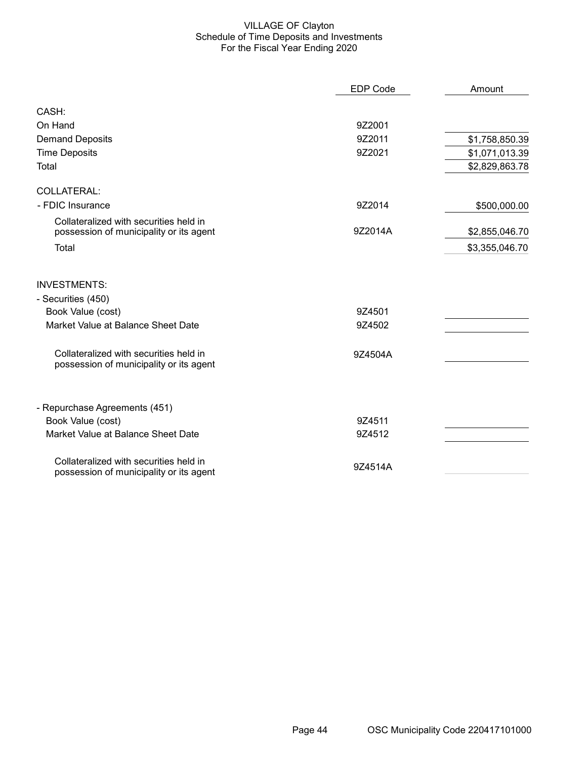## VILLAGE OF Clayton Schedule of Time Deposits and Investments For the Fiscal Year Ending 2020

|                                                                                   | <b>EDP Code</b> | Amount         |
|-----------------------------------------------------------------------------------|-----------------|----------------|
| CASH:                                                                             |                 |                |
| On Hand                                                                           | 9Z2001          |                |
| <b>Demand Deposits</b>                                                            | 9Z2011          | \$1,758,850.39 |
| <b>Time Deposits</b>                                                              | 9Z2021          | \$1,071,013.39 |
| Total                                                                             |                 | \$2,829,863.78 |
| COLLATERAL:                                                                       |                 |                |
| - FDIC Insurance                                                                  | 9Z2014          | \$500,000.00   |
| Collateralized with securities held in<br>possession of municipality or its agent | 9Z2014A         | \$2,855,046.70 |
| Total                                                                             |                 | \$3,355,046.70 |
| <b>INVESTMENTS:</b>                                                               |                 |                |
| - Securities (450)                                                                |                 |                |
| Book Value (cost)                                                                 | 9Z4501          |                |
| Market Value at Balance Sheet Date                                                | 9Z4502          |                |
| Collateralized with securities held in<br>possession of municipality or its agent | 9Z4504A         |                |
| - Repurchase Agreements (451)                                                     |                 |                |
| Book Value (cost)                                                                 | 9Z4511          |                |
| Market Value at Balance Sheet Date                                                | 9Z4512          |                |
| Collateralized with securities held in<br>possession of municipality or its agent | 9Z4514A         |                |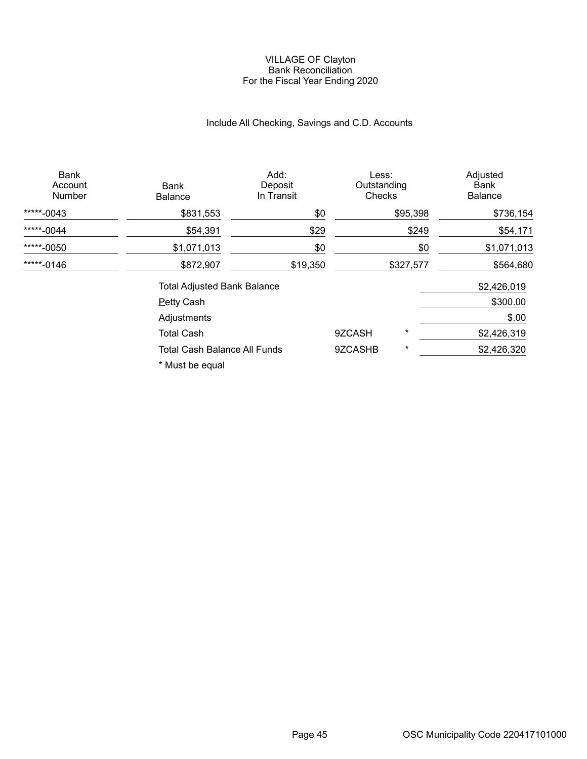#### VILLAGE OF Clayton Bank Reconciliation For the Fiscal Year Ending 2020

## Include All Checking, Savings and C.D. Accounts

| <b>Bank</b><br>Account<br><b>Number</b> | Bank<br><b>Balance</b>              | Add:<br>Deposit<br>In Transit | Less:<br>Outstanding<br>Checks |           | Adjusted<br>Bank<br><b>Balance</b> |
|-----------------------------------------|-------------------------------------|-------------------------------|--------------------------------|-----------|------------------------------------|
| *****-0043                              | \$831,553                           | \$0                           |                                | \$95,398  | \$736,154                          |
| *****-0044                              | \$54,391                            | \$29                          |                                | \$249     | \$54,171                           |
| *****-0050                              | \$1,071,013                         | \$0                           |                                | \$0       | \$1,071,013                        |
| *****-0146                              | \$872,907                           | \$19,350                      |                                | \$327,577 | \$564,680                          |
|                                         | <b>Total Adjusted Bank Balance</b>  |                               |                                |           | \$2,426,019                        |
|                                         | <b>Petty Cash</b>                   |                               |                                |           | \$300.00                           |
|                                         | <b>Adjustments</b>                  |                               |                                |           | \$.00                              |
|                                         | <b>Total Cash</b>                   |                               | 9ZCASH                         | $^\star$  | \$2,426,319                        |
|                                         | <b>Total Cash Balance All Funds</b> |                               | 9ZCASHB                        | $^\star$  | \$2,426,320                        |
|                                         |                                     |                               |                                |           |                                    |

\* Must be equal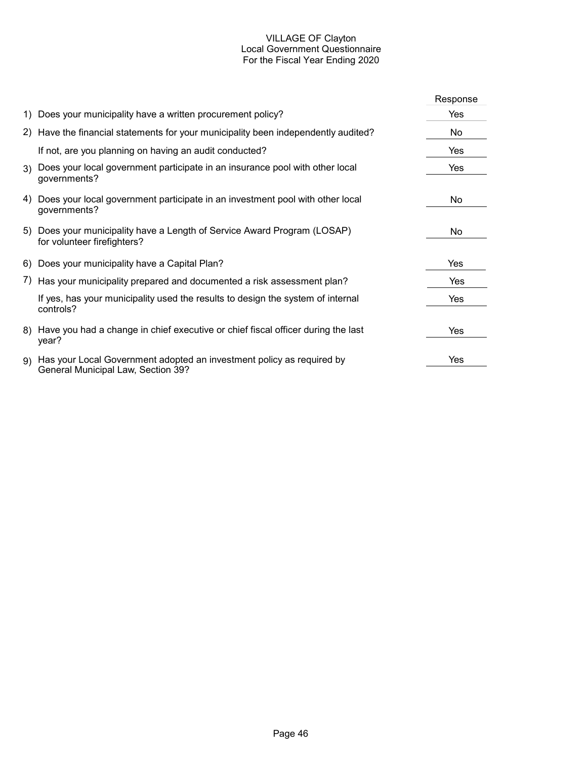## VILLAGE OF Clayton Local Government Questionnaire For the Fiscal Year Ending 2020

|                                                                                                                | Response |
|----------------------------------------------------------------------------------------------------------------|----------|
| 1) Does your municipality have a written procurement policy?                                                   | Yes      |
| 2) Have the financial statements for your municipality been independently audited?                             | No       |
| If not, are you planning on having an audit conducted?                                                         | Yes      |
| 3) Does your local government participate in an insurance pool with other local<br>governments?                | Yes      |
| 4) Does your local government participate in an investment pool with other local<br>governments?               | No       |
| 5) Does your municipality have a Length of Service Award Program (LOSAP)<br>for volunteer firefighters?        | No.      |
| 6) Does your municipality have a Capital Plan?                                                                 | Yes      |
| 7) Has your municipality prepared and documented a risk assessment plan?                                       | Yes      |
| If yes, has your municipality used the results to design the system of internal<br>controls?                   | Yes      |
| 8) Have you had a change in chief executive or chief fiscal officer during the last<br>year?                   | Yes      |
| 9) Has your Local Government adopted an investment policy as required by<br>General Municipal Law, Section 39? | Yes      |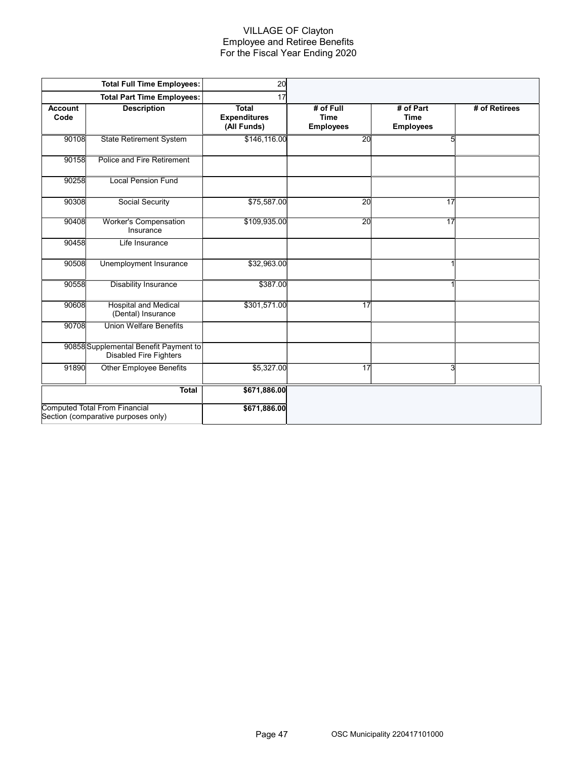## VILLAGE OF Clayton Employee and Retiree Benefits For the Fiscal Year Ending 2020

|                        | <b>Total Full Time Employees:</b>                                           | 20                                                 |                                              |                                              |               |
|------------------------|-----------------------------------------------------------------------------|----------------------------------------------------|----------------------------------------------|----------------------------------------------|---------------|
|                        | <b>Total Part Time Employees:</b>                                           | 17                                                 |                                              |                                              |               |
| <b>Account</b><br>Code | <b>Description</b>                                                          | <b>Total</b><br><b>Expenditures</b><br>(All Funds) | # of Full<br><b>Time</b><br><b>Employees</b> | # of Part<br><b>Time</b><br><b>Employees</b> | # of Retirees |
| 90108                  | <b>State Retirement System</b>                                              | \$146,116.00                                       | 20                                           | 5                                            |               |
| 90158                  | Police and Fire Retirement                                                  |                                                    |                                              |                                              |               |
| 90258                  | <b>Local Pension Fund</b>                                                   |                                                    |                                              |                                              |               |
| 90308                  | Social Security                                                             | \$75,587.00                                        | $\overline{20}$                              | 17                                           |               |
| 90408                  | <b>Worker's Compensation</b><br>Insurance                                   | \$109,935.00                                       | $\overline{20}$                              | 17                                           |               |
| 90458                  | Life Insurance                                                              |                                                    |                                              |                                              |               |
| 90508                  | Unemployment Insurance                                                      | \$32,963.00                                        |                                              | $\mathbf{1}$                                 |               |
| 90558                  | <b>Disability Insurance</b>                                                 | \$387.00                                           |                                              | $\mathbf{1}$                                 |               |
| 90608                  | <b>Hospital and Medical</b><br>(Dental) Insurance                           | \$301,571.00                                       | 17                                           |                                              |               |
| 90708                  | <b>Union Welfare Benefits</b>                                               |                                                    |                                              |                                              |               |
|                        | 90858 Supplemental Benefit Payment to<br><b>Disabled Fire Fighters</b>      |                                                    |                                              |                                              |               |
| 91890                  | <b>Other Employee Benefits</b>                                              | \$5,327.00                                         | 17                                           | 3                                            |               |
|                        | <b>Total</b>                                                                | \$671,886.00                                       |                                              |                                              |               |
|                        | <b>Computed Total From Financial</b><br>Section (comparative purposes only) | \$671,886.00                                       |                                              |                                              |               |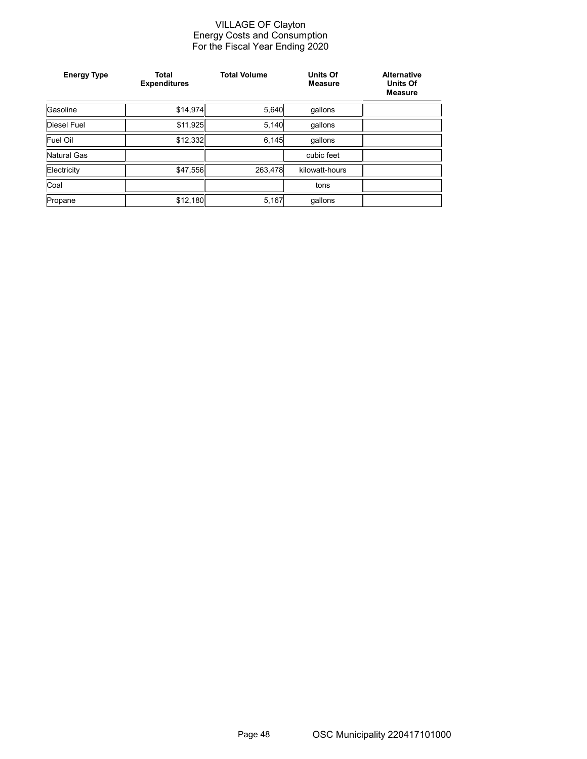#### VILLAGE OF Clayton Energy Costs and Consumption For the Fiscal Year Ending 2020

| <b>Energy Type</b> | <b>Total</b><br><b>Expenditures</b> | <b>Total Volume</b> | <b>Units Of</b><br><b>Measure</b> | <b>Alternative</b><br><b>Units Of</b><br><b>Measure</b> |
|--------------------|-------------------------------------|---------------------|-----------------------------------|---------------------------------------------------------|
| Gasoline           | \$14,974                            | 5,640               | qallons                           |                                                         |
| Diesel Fuel        | \$11,925                            | 5,140               | gallons                           |                                                         |
| Fuel Oil           | \$12,332                            | 6,145               | qallons                           |                                                         |
| Natural Gas        |                                     |                     | cubic feet                        |                                                         |
| Electricity        | \$47,556                            | 263,478             | kilowatt-hours                    |                                                         |
| Coal               |                                     |                     | tons                              |                                                         |
| Propane            | \$12,180                            | 5,167               | qallons                           |                                                         |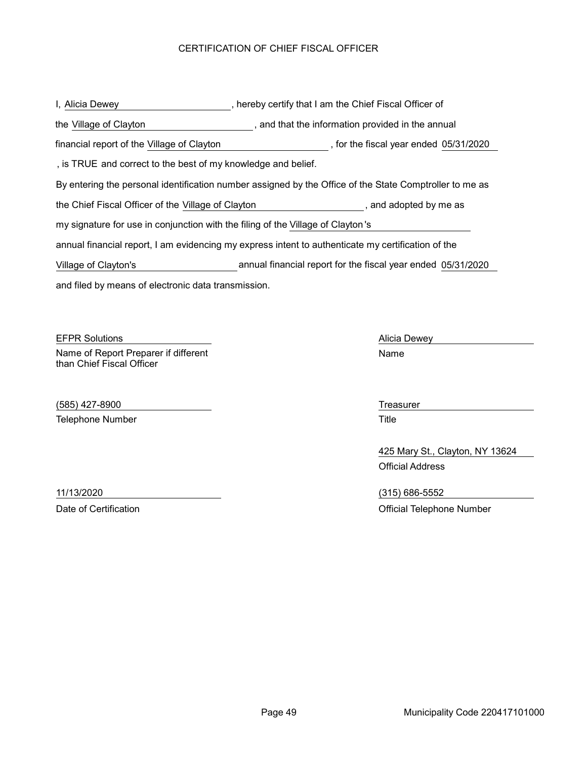## CERTIFICATION OF CHIEF FISCAL OFFICER

and filed by means of electronic data transmission. , hereby certify that I am the Chief Fiscal Officer of By entering the personal identification number assigned by the Office of the State Comptroller to me as the Village of Clayton **the interpret of Clayton** and that the information provided in the annual I, Alicia Dewey the Chief Fiscal Officer of the Village of Clayton , and adopted by me as annual financial report, I am evidencing my express intent to authenticate my certification of the my signature for use in conjunction with the filing of the Village of Clayton's , is TRUE and correct to the best of my knowledge and belief. financial report of the Village of Clayton **come that the fiscal year ended 05/31/2020** Village of Clayton's annual financial report for the fiscal year ended 05/31/2020

**EFPR Solutions Alicia Dewey** Alicia Dewey Name of Report Preparer if different than Chief Fiscal Officer

(585) 427-8900 Treasurer Telephone Number **Title** 

Name

425 Mary St., Clayton, NY 13624 Official Address

11/13/2020 (315) 686-5552 Date of Certification **Date of Certification** Official Telephone Number